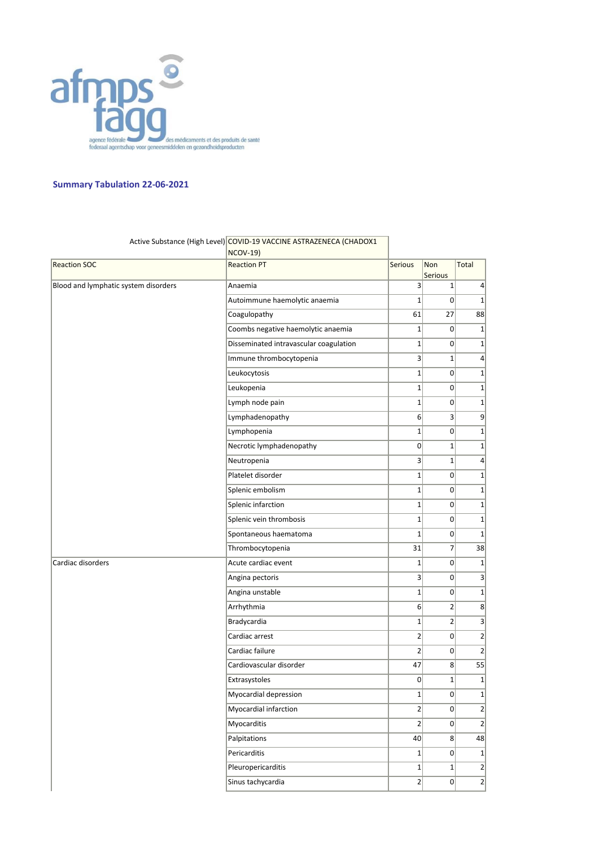

## **Summary Tabulation 22-06-2021**

|                                      | Active Substance (High Level) COVID-19 VACCINE ASTRAZENECA (CHADOX1<br><b>NCOV-19)</b> |                |                |                 |
|--------------------------------------|----------------------------------------------------------------------------------------|----------------|----------------|-----------------|
| <b>Reaction SOC</b>                  | <b>Reaction PT</b>                                                                     | Serious        | Non<br>Serious | Total           |
| Blood and lymphatic system disorders | Anaemia                                                                                | 3 <sup>1</sup> | $\mathbf 1$    | $\vert 4 \vert$ |
|                                      | Autoimmune haemolytic anaemia                                                          | $\mathbf{1}$   | $\overline{0}$ | $1\vert$        |
|                                      | Coagulopathy                                                                           | 61             | 27             | 88              |
|                                      | Coombs negative haemolytic anaemia                                                     | $1\vert$       | $\overline{0}$ | $1\vert$        |
|                                      | Disseminated intravascular coagulation                                                 | $1\vert$       | $\overline{0}$ | $1\vert$        |
|                                      | Immune thrombocytopenia                                                                | 3              | $1\vert$       | $\vert$         |
|                                      | Leukocytosis                                                                           | $1\vert$       | $\overline{0}$ | $1\vert$        |
|                                      | Leukopenia                                                                             | $1\vert$       | 0              | $1\vert$        |
|                                      | Lymph node pain                                                                        | $1\vert$       | $\overline{0}$ | $1\vert$        |
|                                      | Lymphadenopathy                                                                        | 6 <sup>1</sup> | $\overline{3}$ | 9               |
|                                      | Lymphopenia                                                                            | $1\vert$       | $\overline{0}$ | $1\vert$        |
|                                      | Necrotic lymphadenopathy                                                               | $\overline{0}$ | $1\vert$       | $1\vert$        |
|                                      | Neutropenia                                                                            | $\overline{3}$ | $1\vert$       | $\vert$         |
|                                      | Platelet disorder                                                                      | $1\vert$       | $\overline{0}$ | $1\vert$        |
|                                      | Splenic embolism                                                                       | $1\vert$       | 0              | $1\vert$        |
|                                      | Splenic infarction                                                                     | $1\vert$       | 0              | $1\vert$        |
|                                      | Splenic vein thrombosis                                                                | $1\vert$       | 0              | $1\vert$        |
|                                      | Spontaneous haematoma                                                                  | $1\vert$       | $\overline{0}$ | $1\vert$        |
|                                      | Thrombocytopenia                                                                       | 31             | 7              | 38              |
| Cardiac disorders                    | Acute cardiac event                                                                    | $1\vert$       | $\overline{0}$ | $1\vert$        |
|                                      | Angina pectoris                                                                        | 3 <sup>1</sup> | $\overline{0}$ | 3               |
|                                      | Angina unstable                                                                        | $1\vert$       | 0              | $1\vert$        |
|                                      | Arrhythmia                                                                             | $6 \mid$       | 2              | 8 <sup>2</sup>  |
|                                      | Bradycardia                                                                            | $1\vert$       | $\overline{2}$ | $\vert$         |
|                                      | Cardiac arrest                                                                         | 2              | $\overline{0}$ | $\overline{2}$  |
|                                      | Cardiac failure                                                                        | $\overline{2}$ | $\Omega$       | 2               |
|                                      | Cardiovascular disorder                                                                | 47             | 8 <sup>2</sup> | 55              |
|                                      | Extrasystoles                                                                          | $\Omega$       | $1\vert$       | $1\vert$        |
|                                      | Myocardial depression                                                                  | $1\vert$       | 0              | $1\vert$        |
|                                      | Myocardial infarction                                                                  | $\overline{2}$ | $\overline{0}$ | 2               |
|                                      | Myocarditis                                                                            | $2\vert$       | 0              | 2               |
|                                      | Palpitations                                                                           | 40             | 8 <sup>1</sup> | 48              |
|                                      | Pericarditis                                                                           | $1\vert$       | $\overline{0}$ | $1\vert$        |
|                                      | Pleuropericarditis                                                                     | $1\vert$       | $1\vert$       | $\overline{2}$  |
|                                      | Sinus tachycardia                                                                      | $\overline{2}$ | $\overline{0}$ | $\overline{2}$  |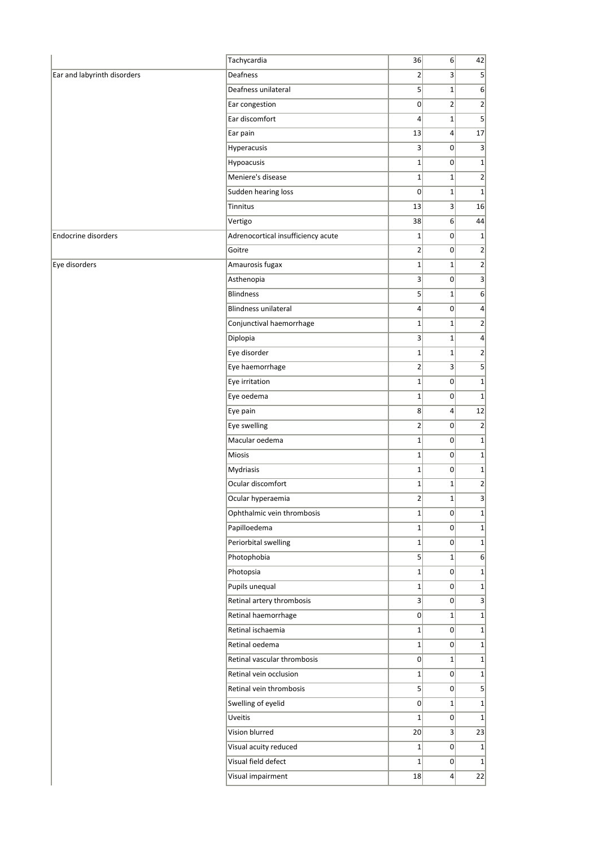|                             | Tachycardia                        | 36              | 6 <sup>1</sup>   | 42                           |
|-----------------------------|------------------------------------|-----------------|------------------|------------------------------|
| Ear and labyrinth disorders | Deafness                           | $\overline{2}$  | $\overline{3}$   | $\overline{5}$               |
|                             | Deafness unilateral                | $\mathsf{S}$    | $1\vert$         | 6 <sup>2</sup>               |
|                             | Ear congestion                     | $\overline{0}$  | $\overline{2}$   | $\overline{2}$               |
|                             | Ear discomfort                     | $\vert$         | $1\vert$         | $5\overline{)}$              |
|                             | Ear pain                           | 13              | $\vert 4 \vert$  | 17                           |
|                             | Hyperacusis                        | $\vert$ 3       | $\overline{0}$   | 3                            |
|                             | Hypoacusis                         | $1\vert$        | 0                | $\mathbf{1}$                 |
|                             | Meniere's disease                  | $1\vert$        | $1\vert$         | $\overline{2}$               |
|                             | Sudden hearing loss                | $\overline{0}$  | $1\vert$         | $\mathbf{1}$                 |
|                             | Tinnitus                           | 13              | $\overline{3}$   | 16                           |
|                             | Vertigo                            | 38              | 6                | 44                           |
| <b>Endocrine disorders</b>  | Adrenocortical insufficiency acute | $1\vert$        | 0                |                              |
|                             | Goitre                             | $\overline{2}$  | $\overline{0}$   | $\overline{2}$               |
| Eye disorders               | Amaurosis fugax                    | $1\vert$        | $1\vert$         | $\overline{2}$               |
|                             | Asthenopia                         | $\mathbf{3}$    | 0                | 3                            |
|                             | <b>Blindness</b>                   | $\mathsf{S}$    | $1\vert$         | 6                            |
|                             | <b>Blindness unilateral</b>        | $\vert 4 \vert$ | 0                |                              |
|                             | Conjunctival haemorrhage           | $1\vert$        | $1\vert$         |                              |
|                             | Diplopia                           | $\mathbf{3}$    | $1\vert$         |                              |
|                             | Eye disorder                       | $1\vert$        | $1\vert$         |                              |
|                             | Eye haemorrhage                    | $\mathbf{2}$    | $\vert$          |                              |
|                             | Eye irritation                     | $1\vert$        | 0                |                              |
|                             | Eye oedema                         | $1\vert$        | $\overline{0}$   |                              |
|                             | Eye pain                           | 8               | $\vert 4 \vert$  | 12                           |
|                             | Eye swelling                       | $\overline{2}$  | $\overline{0}$   | $\overline{2}$               |
|                             | Macular oedema                     | $1\vert$        | 0                |                              |
|                             | <b>Miosis</b>                      | $1\vert$        | 0                | $\mathbf{1}$<br>$\mathbf{1}$ |
|                             | Mydriasis                          | $\mathbf{1}$    | 0                |                              |
|                             | Ocular discomfort                  | $1\vert$        | $1\vert$         |                              |
|                             | Ocular hyperaemia                  | $\overline{2}$  | $1\vert$         |                              |
|                             | Ophthalmic vein thrombosis         | $1\vert$        | 0                |                              |
|                             | Papilloedema                       | $1\vert$        | $\overline{0}$   |                              |
|                             | Periorbital swelling               | $1\vert$        | 0                |                              |
|                             | Photophobia                        | $\mathsf{S}$    | $1\vert$         | 6                            |
|                             | Photopsia                          | $1\vert$        | 0                |                              |
|                             | Pupils unequal                     | $1\vert$        | 0                |                              |
|                             | Retinal artery thrombosis          | 3               | 0                |                              |
|                             | Retinal haemorrhage                | 0               | $1\vert$         |                              |
|                             | Retinal ischaemia                  | $1\vert$        | $\overline{0}$   |                              |
|                             | Retinal oedema                     | $1\vert$        | 0                |                              |
|                             | Retinal vascular thrombosis        | $\overline{0}$  | $1\vert$         |                              |
|                             | Retinal vein occlusion             | $1\vert$        | $\overline{0}$   |                              |
|                             | Retinal vein thrombosis            | $\mathsf{S}$    | 0                |                              |
|                             |                                    |                 |                  | 5 <sup>2</sup>               |
|                             | Swelling of eyelid                 | $\overline{0}$  | $1\vert$         |                              |
|                             | Uveitis                            | $1\vert$        | 0                |                              |
|                             | Vision blurred                     | 20              | $\vert$          | 23                           |
|                             | Visual acuity reduced              | $1\vert$        | 0                | $1\vert$                     |
|                             | Visual field defect                | $1\vert$        | 0                | $1\vert$                     |
|                             | Visual impairment                  | 18              | $\left 4\right $ | 22                           |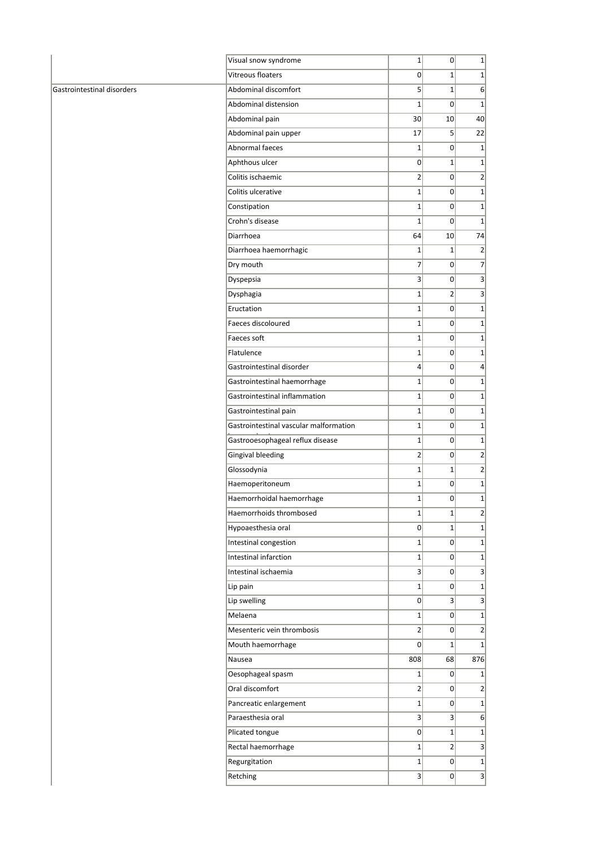|                            | Visual snow syndrome                   | $1\vert$        | 0               | $1\vert$         |
|----------------------------|----------------------------------------|-----------------|-----------------|------------------|
|                            | Vitreous floaters                      | 0               | $1\vert$        | $1\vert$         |
| Gastrointestinal disorders | Abdominal discomfort                   | 5               | $\mathbf 1$     | 6 <sup>1</sup>   |
|                            | Abdominal distension                   | $\mathbf{1}$    | $\overline{0}$  | $1\vert$         |
|                            | Abdominal pain                         | 30 <sup>2</sup> | 10 <sup>1</sup> | 40               |
|                            | Abdominal pain upper                   | 17              | 5 <sup>1</sup>  | 22               |
|                            | Abnormal faeces                        | $\mathbf{1}$    | $\overline{0}$  | 1                |
|                            | Aphthous ulcer                         | $\overline{0}$  | $\mathbf 1$     | $1\vert$         |
|                            | Colitis ischaemic                      | $\overline{2}$  | $\overline{0}$  | $\left  \right $ |
|                            | Colitis ulcerative                     | $1\vert$        | $\overline{0}$  | $1\vert$         |
|                            | Constipation                           | $1\vert$        | $\overline{0}$  | $1\vert$         |
|                            | Crohn's disease                        | $\mathbf{1}$    | $\overline{0}$  | $1\vert$         |
|                            | Diarrhoea                              | 64              | 10 <sup>1</sup> | 74               |
|                            | Diarrhoea haemorrhagic                 | $\mathbf 1$     | $1\vert$        | $\left  \right $ |
|                            | Dry mouth                              | $\overline{7}$  | $\overline{0}$  | $\overline{7}$   |
|                            | Dyspepsia                              | $\mathbf{3}$    | 0               | $\vert$ 3        |
|                            | Dysphagia                              | $1\vert$        | $\overline{2}$  | 3 <sup>2</sup>   |
|                            | Eructation                             | $\mathbf{1}$    | 0               | $1\vert$         |
|                            | Faeces discoloured                     | $1\vert$        | $\overline{0}$  | $1\vert$         |
|                            | Faeces soft                            | $\mathbf{1}$    | $\overline{0}$  | $1\vert$         |
|                            | Flatulence                             | $1\vert$        | 0               | $1\vert$         |
|                            | Gastrointestinal disorder              | 4               | $\overline{0}$  | $\vert 4 \vert$  |
|                            | Gastrointestinal haemorrhage           | $\mathbf{1}$    | 0               | $1\vert$         |
|                            | Gastrointestinal inflammation          | $1\vert$        | 0               | $1\vert$         |
|                            | Gastrointestinal pain                  | $\mathbf{1}$    | 0               | $1\vert$         |
|                            | Gastrointestinal vascular malformation | $1\vert$        | 0               | $1\vert$         |
|                            | Gastrooesophageal reflux disease       | $\mathbf{1}$    | 0               | $1\vert$         |
|                            | <b>Gingival bleeding</b>               | $\overline{2}$  | $\overline{0}$  | $\overline{2}$   |
|                            | Glossodynia                            | $\mathbf{1}$    | $\mathbf 1$     | $\left  \right $ |
|                            | Haemoperitoneum                        | $1\vert$        | $\overline{0}$  | $1\vert$         |
|                            | Haemorrhoidal haemorrhage              | $\mathbf{1}$    | $\overline{0}$  | $1\vert$         |
|                            | Haemorrhoids thrombosed                | $1\vert$        | $1\vert$        | $\overline{2}$   |
|                            | Hypoaesthesia oral                     | 0               | $1\vert$        | $1\vert$         |
|                            | Intestinal congestion                  | $1\vert$        | 0               | $1\vert$         |
|                            | Intestinal infarction                  | $1\vert$        | 0               | $1\vert$         |
|                            |                                        |                 |                 |                  |
|                            | Intestinal ischaemia                   | $\vert 3 \vert$ | 0               | $\vert$ 3        |
|                            | Lip pain                               | $1\vert$        | $\overline{0}$  | $1\vert$         |
|                            | Lip swelling                           | 0               | 3 <sup>1</sup>  | $\overline{3}$   |
|                            | Melaena                                | $1\vert$        | 0               | $1\vert$         |
|                            | Mesenteric vein thrombosis             | $\overline{2}$  | $\overline{0}$  | 2                |
|                            | Mouth haemorrhage                      | $\overline{0}$  | $\mathbf 1$     | $1\vert$         |
|                            | Nausea                                 | 808             | 68              | 876              |
|                            | Oesophageal spasm                      | $1\vert$        | $\overline{0}$  | $1\vert$         |
|                            | Oral discomfort                        | $\overline{2}$  | $\overline{0}$  | $\left  \right $ |
|                            | Pancreatic enlargement                 | $1\vert$        | 0               | 1                |
|                            | Paraesthesia oral                      | $\vert 3 \vert$ | $\overline{3}$  | 6                |
|                            | Plicated tongue                        | $\overline{0}$  | $1\vert$        | $1\vert$         |
|                            | Rectal haemorrhage                     | $1\vert$        | $\overline{2}$  | 3                |
|                            | Regurgitation                          | $1\vert$        | 0               | $1\vert$         |
|                            | Retching                               | 3               | $\overline{0}$  | 3                |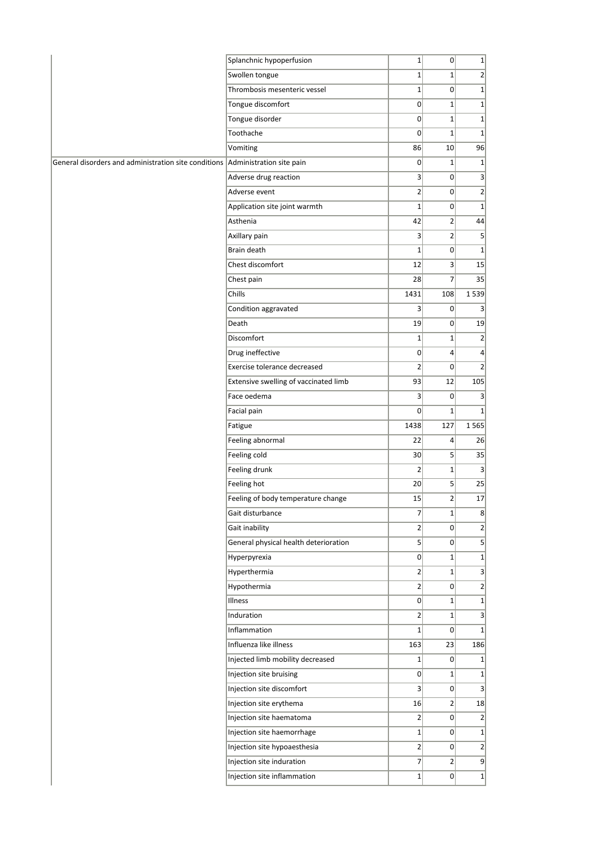|                                                      | Splanchnic hypoperfusion              | $1\vert$         | 0              | $1\vert$                |
|------------------------------------------------------|---------------------------------------|------------------|----------------|-------------------------|
|                                                      | Swollen tongue                        | $1\vert$         | $1\vert$       | $\overline{2}$          |
|                                                      | Thrombosis mesenteric vessel          | $1\vert$         | $\overline{0}$ | $1\vert$                |
|                                                      | Tongue discomfort                     | 0                | $1\vert$       | $1\vert$                |
|                                                      | Tongue disorder                       | 0                | $1\vert$       | $1\vert$                |
|                                                      | Toothache                             | 0                | $\mathbf 1$    | $1\vert$                |
|                                                      | Vomiting                              | 86               | 10             | 96                      |
| General disorders and administration site conditions | Administration site pain              | 0                | $\mathbf{1}$   | $1\vert$                |
|                                                      | Adverse drug reaction                 | 3                | $\overline{0}$ | $\overline{3}$          |
|                                                      | Adverse event                         | $\overline{2}$   | 0              | $2\vert$                |
|                                                      | Application site joint warmth         | $1\vert$         | 0              | $1\vert$                |
|                                                      | Asthenia                              | 42               | $\overline{2}$ | 44                      |
|                                                      | Axillary pain                         | $\overline{3}$   | 2              | $\overline{\mathbf{5}}$ |
|                                                      | Brain death                           | $1\vert$         | $\overline{0}$ | $1\vert$                |
|                                                      | Chest discomfort                      | 12               | 3              | 15                      |
|                                                      | Chest pain                            | 28               | $\overline{7}$ | 35                      |
|                                                      | Chills                                | 1431             | 108            | 1539                    |
|                                                      | Condition aggravated                  | $\vert 3 \vert$  | $\overline{0}$ | 3 <sup>1</sup>          |
|                                                      | Death                                 | 19               | $\overline{0}$ | 19                      |
|                                                      | Discomfort                            | $1\vert$         | $\mathbf 1$    | 2                       |
|                                                      | Drug ineffective                      | 0                | $\overline{4}$ | $\overline{4}$          |
|                                                      | Exercise tolerance decreased          | $\overline{2}$   | $\overline{0}$ | 2 <sup>2</sup>          |
|                                                      | Extensive swelling of vaccinated limb | 93               | 12             | 105                     |
|                                                      | Face oedema                           | $\vert$          | 0              | 3                       |
|                                                      | Facial pain                           | $\Omega$         | $\mathbf{1}$   | $1\vert$                |
|                                                      | Fatigue                               | 1438             | 127            | 1565                    |
|                                                      | Feeling abnormal                      | 22               | 4              | 26                      |
|                                                      | Feeling cold                          | 30 <sup>2</sup>  | 5              | 35                      |
|                                                      | Feeling drunk                         | $\overline{2}$   | $\mathbf 1$    | 3 <sup>2</sup>          |
|                                                      | Feeling hot                           | 20               | 5 <sup>1</sup> | 25                      |
|                                                      | Feeling of body temperature change    | 15               | $\overline{2}$ | 17                      |
|                                                      | Gait disturbance                      | $\overline{7}$   | $1\vert$       | 8                       |
|                                                      | Gait inability                        | 2                | 0              | $\overline{2}$          |
|                                                      | General physical health deterioration | $\vert$          | 0              | $\overline{5}$          |
|                                                      | Hyperpyrexia                          | 0                | $1\vert$       | $\overline{1}$          |
|                                                      | Hyperthermia                          | $\left 2\right $ | $1\vert$       | $\overline{\mathbf{3}}$ |
|                                                      | Hypothermia                           | $\left 2\right $ | $\overline{0}$ | $2\vert$                |
|                                                      | Illness                               | 0                | $1\vert$       | $\overline{1}$          |
|                                                      | Induration                            | $\overline{2}$   | $1\vert$       | $\overline{3}$          |
|                                                      | Inflammation                          | $1\vert$         | 0              | $1\vert$                |
|                                                      | Influenza like illness                | 163              | 23             | 186                     |
|                                                      | Injected limb mobility decreased      | $1\vert$         | $\overline{0}$ | $1\vert$                |
|                                                      | Injection site bruising               | 0                | $1\vert$       | $1\vert$                |
|                                                      | Injection site discomfort             | $\vert$          | 0              | 3                       |
|                                                      | Injection site erythema               | 16               | $\mathbf{2}$   | 18                      |
|                                                      | Injection site haematoma              | $\left  \right $ | $\overline{0}$ | 2                       |
|                                                      | Injection site haemorrhage            | $1\vert$         | 0              | $\overline{1}$          |
|                                                      | Injection site hypoaesthesia          | $\overline{2}$   | 0              | $\overline{2}$          |
|                                                      | Injection site induration             | $\overline{7}$   | $\overline{2}$ | 9                       |
|                                                      | Injection site inflammation           | $1\vert$         | $\overline{0}$ | $1\vert$                |
|                                                      |                                       |                  |                |                         |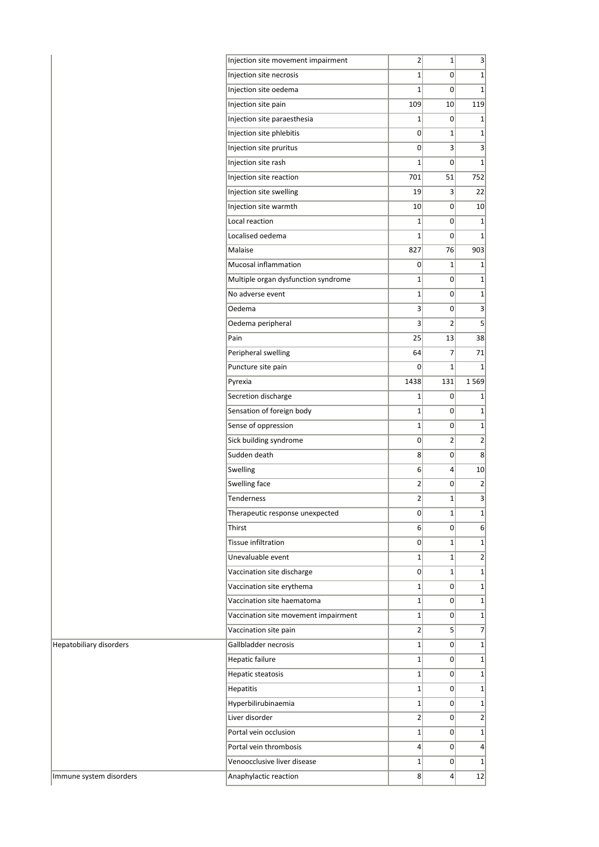|                         | Injection site movement impairment                      | $\overline{2}$   | $1\vert$                | $\vert$              |
|-------------------------|---------------------------------------------------------|------------------|-------------------------|----------------------|
|                         | Injection site necrosis                                 | $1\vert$         | $\overline{0}$          | 1                    |
|                         | Injection site oedema                                   | $1\vert$         | $\overline{0}$          | 1                    |
|                         | Injection site pain                                     | 109              | 10                      | 119                  |
|                         | Injection site paraesthesia                             | $1\vert$         | $\overline{0}$          | $1\vert$             |
|                         | Injection site phlebitis                                | $\overline{0}$   | $\mathbf 1$             | $1\vert$             |
|                         | Injection site pruritus                                 | $\overline{0}$   | $\overline{\mathbf{3}}$ | 3                    |
|                         | Injection site rash                                     | $1\vert$         | $\overline{0}$          | $1\vert$             |
|                         | Injection site reaction                                 | 701              | 51                      | 752                  |
|                         | Injection site swelling                                 | 19               | $\overline{3}$          | 22                   |
|                         | Injection site warmth                                   | 10               | 0                       | 10 <sup>1</sup>      |
|                         | Local reaction                                          | $1\vert$         | $\overline{0}$          | $1\vert$             |
|                         | Localised oedema                                        | $1\vert$         | $\overline{0}$          | $1\vert$             |
|                         | Malaise                                                 | 827              | 76                      | 903                  |
|                         | Mucosal inflammation                                    | 0                | $1\vert$                | $1\vert$             |
|                         | Multiple organ dysfunction syndrome                     | $1\vert$         | $\overline{0}$          | $1\vert$             |
|                         | No adverse event                                        | $1\vert$         | $\overline{0}$          | 1                    |
|                         | Oedema                                                  | 3 <sup>1</sup>   | 0                       | $\vert$ 3            |
|                         | Oedema peripheral                                       | 3                | $\overline{2}$          | $\overline{5}$       |
|                         | Pain                                                    | 25               | 13                      | 38                   |
|                         | Peripheral swelling                                     | 64               | $\overline{7}$          | 71                   |
|                         | Puncture site pain                                      | $\overline{0}$   | $\mathbf{1}$            | $1\vert$             |
|                         | Pyrexia                                                 | 1438             | 131                     | 1 5 6 9              |
|                         | Secretion discharge                                     | $1\vert$         | $\overline{0}$          | $1\vert$             |
|                         | Sensation of foreign body                               | $1\vert$         | $\overline{0}$          | $1\vert$             |
|                         | Sense of oppression                                     | $1\vert$         | $\overline{0}$          | 1                    |
|                         | Sick building syndrome                                  | 0                | $\overline{2}$          | $\overline{2}$       |
|                         | Sudden death                                            | 8                | 0                       | 8 <sup>1</sup>       |
|                         | Swelling                                                | $6\vert$         | $\overline{4}$          | 10 <sup>1</sup>      |
|                         | Swelling face                                           | $\overline{2}$   | 0                       | $\left  \right $     |
|                         | <b>Tenderness</b>                                       | $\overline{2}$   | $1\vert$                | 3                    |
|                         | Therapeutic response unexpected                         | 0                | $1\vert$                | $1\vert$             |
|                         | Thirst                                                  | 6 <sup>1</sup>   | $\overline{0}$          | 6 <sup>1</sup>       |
|                         | Tissue infiltration                                     | 0                | $1\vert$                | 1                    |
|                         | Unevaluable event                                       | $1\vert$         | $\mathbf{1}$            | $\overline{2}$       |
|                         |                                                         | $\overline{0}$   | $1\vert$                | $1\vert$             |
|                         | Vaccination site discharge                              | $1\vert$         | $\overline{0}$          |                      |
|                         | Vaccination site erythema<br>Vaccination site haematoma | $1\vert$         | $\overline{0}$          | $1\vert$<br>$1\vert$ |
|                         |                                                         |                  |                         |                      |
|                         | Vaccination site movement impairment                    | $1\vert$<br>2    | 0                       | 1<br>$\overline{7}$  |
|                         | Vaccination site pain                                   |                  | 5                       |                      |
| Hepatobiliary disorders | Gallbladder necrosis                                    | $1\vert$         | $\overline{0}$          | 1                    |
|                         | <b>Hepatic failure</b>                                  | $1\vert$         | $\overline{0}$          | $1\vert$             |
|                         | <b>Hepatic steatosis</b>                                | $1\vert$         | $\overline{0}$          | $1\vert$             |
|                         | Hepatitis                                               | $1\vert$         | 0                       | $1\vert$             |
|                         | Hyperbilirubinaemia                                     | $1\vert$         | $\overline{0}$          | $1\vert$             |
|                         | Liver disorder                                          | 2                | $\overline{0}$          | $\overline{2}$       |
|                         | Portal vein occlusion                                   | $1\vert$         | 0                       | $1\vert$             |
|                         | Portal vein thrombosis                                  | $\left 4\right $ | $\overline{0}$          | $\vert 4 \vert$      |
|                         | Venoocclusive liver disease                             | $1\vert$         | 0                       | $1\vert$             |
| Immune system disorders | Anaphylactic reaction                                   | 8                | $\left 4\right $        | 12                   |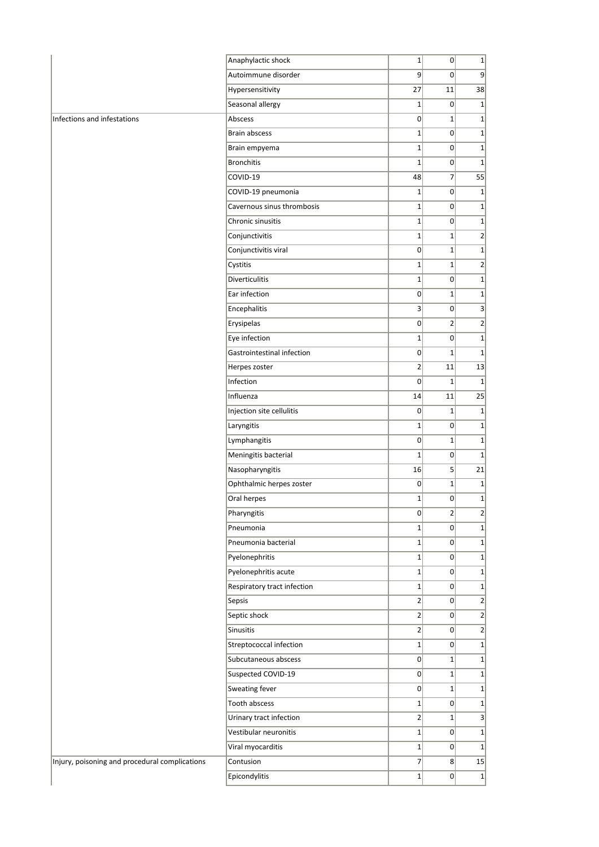|                                                | Anaphylactic shock          | $1\vert$       | 0               | $1\vert$         |
|------------------------------------------------|-----------------------------|----------------|-----------------|------------------|
|                                                | Autoimmune disorder         | 9              | $\overline{0}$  | 9                |
|                                                | Hypersensitivity            | 27             | 11              | 38               |
|                                                | Seasonal allergy            | $1\vert$       | 0               | $\mathbf{1}$     |
| Infections and infestations                    | Abscess                     | $\overline{0}$ | $1\overline{ }$ | $1\vert$         |
|                                                | <b>Brain abscess</b>        | $1\vert$       | $\overline{0}$  | $\mathbf{1}$     |
|                                                | Brain empyema               | 1              | 0               | $\mathbf{1}$     |
|                                                | <b>Bronchitis</b>           | 1              | 0               | $\mathbf{1}$     |
|                                                | COVID-19                    | 48             | $\overline{7}$  | 55               |
|                                                | COVID-19 pneumonia          | $\mathbf{1}$   | $\overline{0}$  | $\mathbf{1}$     |
|                                                | Cavernous sinus thrombosis  | $1\vert$       | 0               | $1\vert$         |
|                                                | Chronic sinusitis           | 1              | $\overline{0}$  | $1\vert$         |
|                                                | Conjunctivitis              | $1\vert$       | $\mathbf{1}$    | $\overline{2}$   |
|                                                | Conjunctivitis viral        | $\overline{0}$ | $1\overline{ }$ | $\mathbf{1}$     |
|                                                | Cystitis                    | $\mathbf{1}$   | $1\vert$        | $\overline{2}$   |
|                                                | <b>Diverticulitis</b>       | $1\vert$       | 0               | $1\vert$         |
|                                                | Ear infection               | $\overline{0}$ | $\mathbf{1}$    | $1\vert$         |
|                                                | Encephalitis                | $\mathsf{s}$   | 0               | 3                |
|                                                | Erysipelas                  | $\overline{0}$ | $\overline{2}$  | $\overline{2}$   |
|                                                | Eye infection               | $1\vert$       | $\overline{0}$  | $\mathbf{1}$     |
|                                                | Gastrointestinal infection  | 0              | $1\vert$        | $\mathbf{1}$     |
|                                                | Herpes zoster               | $\overline{2}$ | 11              | 13               |
|                                                | Infection                   | $\overline{0}$ | $1\overline{ }$ | $\mathbf{1}$     |
|                                                | Influenza                   | 14             | 11              | 25               |
|                                                | Injection site cellulitis   | 0              | $1\vert$        | $\mathbf{1}$     |
|                                                | Laryngitis                  | 1              | 0               | $1\vert$         |
|                                                | Lymphangitis                | 0              | $1\vert$        | $1\vert$         |
|                                                | Meningitis bacterial        | 1              | 0               | $\mathbf{1}$     |
|                                                | Nasopharyngitis             | 16             | 5 <sup>1</sup>  | 21               |
|                                                | Ophthalmic herpes zoster    | $\overline{0}$ | $1\vert$        | $\mathbf{1}$     |
|                                                | Oral herpes                 | 1              | 0               | $\mathbf{1}$     |
|                                                | Pharyngitis                 | 0              | $\overline{2}$  | $\mathbf{2}$     |
|                                                | Pneumonia                   | $1\vert$       | 0               | $1\vert$         |
|                                                | Pneumonia bacterial         | $1\vert$       | $\overline{0}$  | $1\vert$         |
|                                                | Pyelonephritis              | $1\vert$       | 0               | $1\vert$         |
|                                                | Pyelonephritis acute        | $1\vert$       | 0               | $1\vert$         |
|                                                | Respiratory tract infection | $1\vert$       | $\overline{0}$  | $\mathbf{1}$     |
|                                                | Sepsis                      | $\overline{2}$ | 0               | $\overline{2}$   |
|                                                | Septic shock                | $2\vert$       | $\overline{0}$  | $\overline{2}$   |
|                                                | Sinusitis                   | $\mathbf{2}$   | 0               | $\left  \right $ |
|                                                | Streptococcal infection     | $1\vert$       | $\overline{0}$  | $\mathbf{1}$     |
|                                                | Subcutaneous abscess        | 0              | 1               | $1\vert$         |
|                                                | Suspected COVID-19          | $\overline{0}$ | $1\vert$        | $1\vert$         |
|                                                | Sweating fever              | 0              | $1\vert$        | $1\vert$         |
|                                                | Tooth abscess               | 1              | 0               | $1\vert$         |
|                                                | Urinary tract infection     | $\mathbf{2}$   | $1\vert$        | $\vert$ 3        |
|                                                | Vestibular neuronitis       | $1\vert$       | 0               | $\mathbf{1}$     |
|                                                | Viral myocarditis           | $1\vert$       | 0               | $\mathbf{1}$     |
| Injury, poisoning and procedural complications | Contusion                   | $\overline{7}$ | 8 <sup>2</sup>  | 15               |
|                                                | Epicondylitis               | $1\vert$       | $\overline{0}$  | 1                |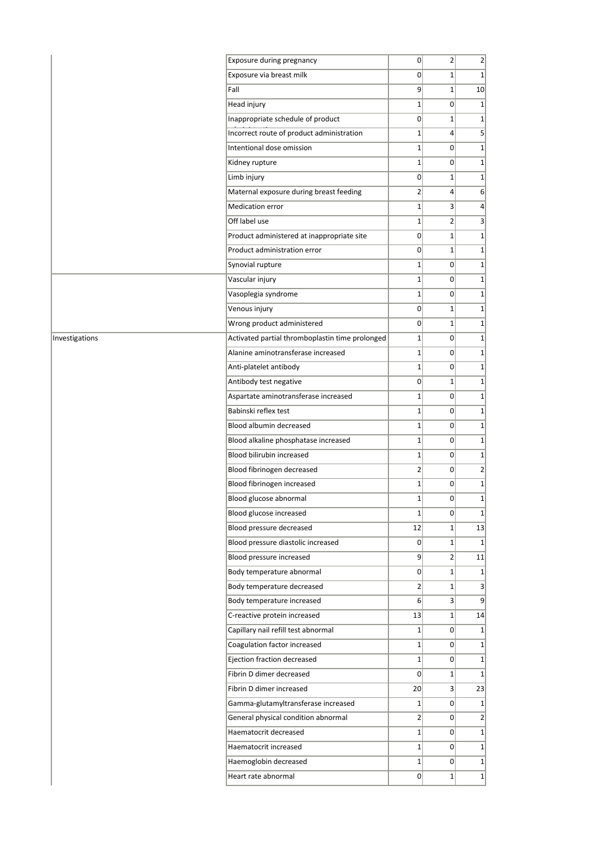|                | Exposure during pregnancy                       | $\overline{0}$ | $\overline{2}$  | $\overline{2}$  |
|----------------|-------------------------------------------------|----------------|-----------------|-----------------|
|                | Exposure via breast milk                        | $\overline{0}$ | $1\vert$        | 1               |
|                | Fall                                            | 9              | $1\vert$        | 10              |
|                | Head injury                                     | $\mathbf{1}$   | $\overline{0}$  | $1\vert$        |
|                | Inappropriate schedule of product               | $\overline{0}$ | $\mathbf 1$     | $1\vert$        |
|                | Incorrect route of product administration       | $\mathbf{1}$   | $\overline{4}$  | 5 <sup>2</sup>  |
|                | Intentional dose omission                       | $\mathbf{1}$   | $\Omega$        | $1\vert$        |
|                | Kidney rupture                                  | $\mathbf{1}$   | $\Omega$        | $1\vert$        |
|                | Limb injury                                     | $\overline{0}$ | $1\vert$        | 1               |
|                | Maternal exposure during breast feeding         | 2              | 4               | 6 <sup>1</sup>  |
|                | <b>Medication error</b>                         | $1\vert$       | $\overline{3}$  | $\vert 4 \vert$ |
|                | Off label use                                   | $\mathbf{1}$   | $\overline{2}$  | 3               |
|                | Product administered at inappropriate site      | $\overline{0}$ | $\mathbf 1$     | $1\vert$        |
|                | Product administration error                    | $\overline{0}$ | $\mathbf 1$     | 1               |
|                | Synovial rupture                                | $\mathbf{1}$   | $\overline{0}$  | $1\vert$        |
|                | Vascular injury                                 | $1\vert$       | $\Omega$        | $1\vert$        |
|                | Vasoplegia syndrome                             | $\mathbf{1}$   | $\Omega$        | $1\vert$        |
|                | Venous injury                                   | $\overline{0}$ | 1               | $1\vert$        |
|                | Wrong product administered                      | $\overline{0}$ | $\mathbf 1$     | $1\vert$        |
| Investigations | Activated partial thromboplastin time prolonged | $\mathbf 1$    | $\overline{0}$  | $1\vert$        |
|                | Alanine aminotransferase increased              | $\mathbf{1}$   | $\overline{0}$  | 1               |
|                | Anti-platelet antibody                          | $\mathbf{1}$   | $\overline{0}$  | $1\vert$        |
|                | Antibody test negative                          | $\overline{0}$ | $1\vert$        | $1\vert$        |
|                | Aspartate aminotransferase increased            | $\mathbf{1}$   | $\overline{0}$  | $1\vert$        |
|                | Babinski reflex test                            | $\mathbf{1}$   | $\overline{0}$  | $1\vert$        |
|                |                                                 |                |                 |                 |
|                | Blood albumin decreased                         | $\mathbf{1}$   | $\Omega$        | $1\vert$        |
|                | Blood alkaline phosphatase increased            | $\mathbf{1}$   | $\Omega$        | $1\vert$        |
|                | Blood bilirubin increased                       | $\mathbf{1}$   | 0               | 1               |
|                | Blood fibrinogen decreased                      | $\overline{2}$ | $\overline{0}$  | $\overline{2}$  |
|                | Blood fibrinogen increased                      | $\mathbf{1}$   | $\overline{0}$  | $1\vert$        |
|                | Blood glucose abnormal                          | $\mathbf{1}$   | $\Omega$        | $1\vert$        |
|                | Blood glucose increased                         | $\mathbf 1$    | 0               | $1\vert$        |
|                | Blood pressure decreased                        | 12             | $1\vert$        | 13              |
|                | Blood pressure diastolic increased              | $\overline{0}$ | $1\overline{ }$ | $1\vert$        |
|                | Blood pressure increased                        | 9              | 2               | 11              |
|                | Body temperature abnormal                       | $\overline{0}$ | $1\vert$        | $1\vert$        |
|                | Body temperature decreased                      | $\overline{2}$ | $1\vert$        | 3 <sup>1</sup>  |
|                | Body temperature increased                      | $6 \mid$       | 3 <sup>2</sup>  | 9 <sup>°</sup>  |
|                | C-reactive protein increased                    | 13             | $1\vert$        | 14              |
|                | Capillary nail refill test abnormal             | $1\vert$       | 0               | $1\vert$        |
|                | Coagulation factor increased                    | $\mathbf{1}$   | 0               | $1\vert$        |
|                | Ejection fraction decreased                     | $1\vert$       | 0               | $1\vert$        |
|                | Fibrin D dimer decreased                        | $\overline{0}$ | $1\vert$        | $1\vert$        |
|                | Fibrin D dimer increased                        | 20             | $\overline{3}$  | 23              |
|                | Gamma-glutamyltransferase increased             | 1              | 0               | $1\vert$        |
|                | General physical condition abnormal             | $\overline{2}$ | 0               | $\overline{2}$  |
|                | Haematocrit decreased                           | $1\vert$       | $\Omega$        | $1\vert$        |
|                | Haematocrit increased                           | $1\vert$       | 0               | $1\vert$        |
|                | Haemoglobin decreased                           | $1\vert$       | $\overline{0}$  | $1\vert$        |
|                | Heart rate abnormal                             | $\overline{0}$ | $1\overline{ }$ | 1               |
|                |                                                 |                |                 |                 |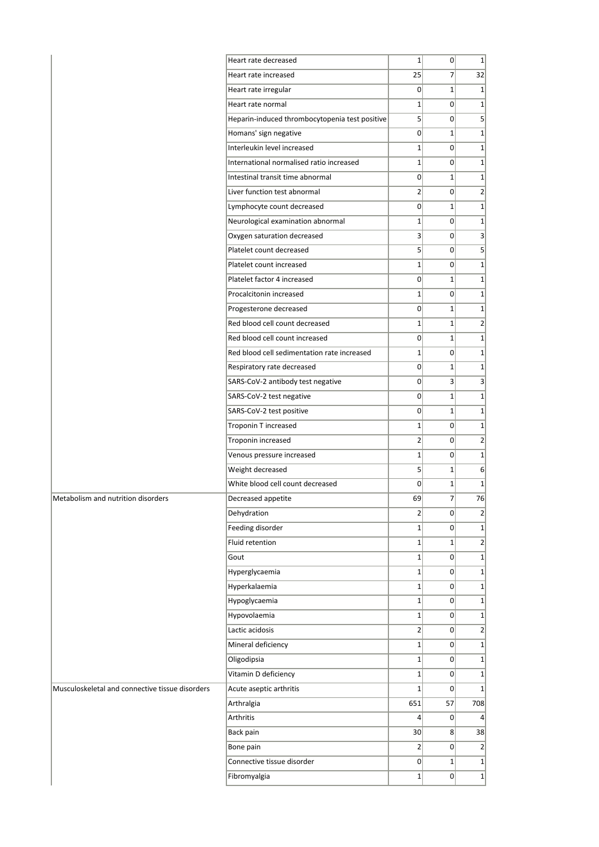|                                                 | Heart rate decreased                           | $1\vert$        | $\overline{0}$ | $1\vert$        |
|-------------------------------------------------|------------------------------------------------|-----------------|----------------|-----------------|
|                                                 | Heart rate increased                           | 25              | 7 <sup>1</sup> | 32              |
|                                                 | Heart rate irregular                           | $\overline{0}$  | $1\vert$       | $1\vert$        |
|                                                 | Heart rate normal                              | $1\vert$        | $\Omega$       | $1\vert$        |
|                                                 | Heparin-induced thrombocytopenia test positive | 5 <sup>1</sup>  | $\overline{0}$ | 5 <sup>2</sup>  |
|                                                 | Homans' sign negative                          | $\overline{0}$  | $1\vert$       | $1\vert$        |
|                                                 | Interleukin level increased                    | $1\vert$        | $\overline{0}$ | $1\vert$        |
|                                                 | International normalised ratio increased       | $1\vert$        | $\overline{0}$ | $1\vert$        |
|                                                 | Intestinal transit time abnormal               | $\overline{0}$  | $1\vert$       | $1\vert$        |
|                                                 | Liver function test abnormal                   | $\overline{2}$  | $\overline{0}$ | $\overline{2}$  |
|                                                 | Lymphocyte count decreased                     | 0               | 1              | $1\vert$        |
|                                                 | Neurological examination abnormal              | $1\vert$        | $\overline{0}$ | $1\vert$        |
|                                                 | Oxygen saturation decreased                    | $\vert 3 \vert$ | 0              | 3               |
|                                                 | Platelet count decreased                       | 5               | $\overline{0}$ | $\vert$         |
|                                                 | Platelet count increased                       | $1\vert$        | $\overline{0}$ | $1\vert$        |
|                                                 | Platelet factor 4 increased                    | $\overline{0}$  | $1\vert$       | $1\vert$        |
|                                                 | Procalcitonin increased                        | $1\vert$        | $\overline{0}$ | $1\vert$        |
|                                                 | Progesterone decreased                         | $\overline{0}$  | 1              | $1\vert$        |
|                                                 | Red blood cell count decreased                 | $1\vert$        | $1\vert$       | 2               |
|                                                 | Red blood cell count increased                 | $\overline{0}$  | $1\vert$       | $1\vert$        |
|                                                 | Red blood cell sedimentation rate increased    | $1\vert$        | $\overline{0}$ | $1\vert$        |
|                                                 | Respiratory rate decreased                     | $\overline{0}$  | $1\vert$       | $1\vert$        |
|                                                 | SARS-CoV-2 antibody test negative              | 0               | $\overline{3}$ | 3               |
|                                                 | SARS-CoV-2 test negative                       | $\overline{0}$  | $1\vert$       | $1\vert$        |
|                                                 | SARS-CoV-2 test positive                       | $\overline{0}$  | $1\vert$       | $1\vert$        |
|                                                 | Troponin T increased                           | $\mathbf 1$     | $\overline{0}$ | $1\vert$        |
|                                                 | Troponin increased                             | $\overline{2}$  | 0              | $\overline{2}$  |
|                                                 | Venous pressure increased                      | $1\vert$        | 0              | $1\vert$        |
|                                                 | Weight decreased                               | 5 <sup>1</sup>  | $1\vert$       | 6               |
|                                                 | White blood cell count decreased               | $\overline{0}$  | 1              | $1\vert$        |
| Metabolism and nutrition disorders              | Decreased appetite                             | 69              | 7              | 76              |
|                                                 | Dehydration                                    | $\overline{2}$  | 0              | $\overline{2}$  |
|                                                 | Feeding disorder                               | $1\vert$        | $\overline{0}$ | $1\vert$        |
|                                                 | Fluid retention                                | $1\vert$        | $1\vert$       | $\overline{2}$  |
|                                                 | Gout                                           | $\mathbf 1$     | $\overline{0}$ | $1\vert$        |
|                                                 | Hyperglycaemia                                 | $1\vert$        | $\overline{0}$ | $1\vert$        |
|                                                 | Hyperkalaemia                                  | $1\vert$        | $\overline{0}$ | $1\vert$        |
|                                                 | Hypoglycaemia                                  | $1\vert$        | $\overline{0}$ | $1\vert$        |
|                                                 | Hypovolaemia                                   | $1\vert$        | $\overline{0}$ | $1\vert$        |
|                                                 | Lactic acidosis                                | $\overline{2}$  | 0              | 2               |
|                                                 | Mineral deficiency                             | $1\vert$        | $\overline{0}$ | $1\vert$        |
|                                                 | Oligodipsia                                    | $1\vert$        | 0              | $1\vert$        |
|                                                 | Vitamin D deficiency                           | $\mathbf 1$     | 0              | $1\vert$        |
| Musculoskeletal and connective tissue disorders | Acute aseptic arthritis                        | $1\vert$        | 0              | 1               |
|                                                 | Arthralgia                                     | 651             | 57             | 708             |
|                                                 | Arthritis                                      | $\vert 4 \vert$ | 0              | $\vert 4 \vert$ |
|                                                 | Back pain                                      | 30 <sup>2</sup> | 8              | 38              |
|                                                 | Bone pain                                      | $\overline{2}$  | 0              | $\overline{2}$  |
|                                                 | Connective tissue disorder                     | $\overline{0}$  | 1              | $1\vert$        |
|                                                 | Fibromyalgia                                   | $1\vert$        | $\overline{0}$ | $1\vert$        |
|                                                 |                                                |                 |                |                 |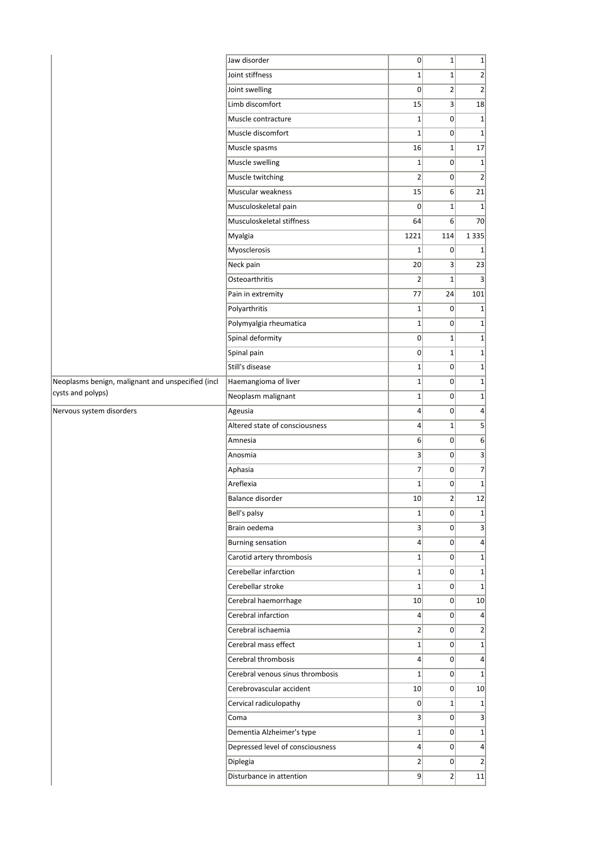|                                                   | Jaw disorder                     | 0              | $1\overline{ }$ | $1\,$          |
|---------------------------------------------------|----------------------------------|----------------|-----------------|----------------|
|                                                   | Joint stiffness                  | $\mathbf{1}$   | $1\overline{ }$ | $\overline{2}$ |
|                                                   | Joint swelling                   | $\overline{0}$ | $\overline{2}$  | $\overline{2}$ |
|                                                   | Limb discomfort                  | 15             | 3               | 18             |
|                                                   | Muscle contracture               | $\mathbf 1$    | 0               | $\mathbf{1}$   |
|                                                   | Muscle discomfort                | $1\vert$       | $\Omega$        | $\mathbf{1}$   |
|                                                   | Muscle spasms                    | 16             | $1\vert$        | 17             |
|                                                   | Muscle swelling                  | $\mathbf{1}$   | 0               | $\mathbf{1}$   |
|                                                   | Muscle twitching                 | $\overline{2}$ | 0               | $\overline{2}$ |
|                                                   | Muscular weakness                | 15             | 6               | 21             |
|                                                   | Musculoskeletal pain             | $\overline{0}$ | $1\overline{ }$ | $\mathbf{1}$   |
|                                                   | Musculoskeletal stiffness        | 64             | 6               | 70             |
|                                                   | Myalgia                          | 1221           | 114             | 1 3 3 5        |
|                                                   | Myosclerosis                     | $\mathbf{1}$   | 0               | 1              |
|                                                   | Neck pain                        | 20             | $\overline{3}$  | 23             |
|                                                   | Osteoarthritis                   | $\overline{2}$ | $1\overline{ }$ | 3              |
|                                                   | Pain in extremity                | 77             | 24              | 101            |
|                                                   | Polyarthritis                    | $\mathbf{1}$   | 0               | $\mathbf{1}$   |
|                                                   | Polymyalgia rheumatica           | $\mathbf{1}$   | 0               | $\mathbf{1}$   |
|                                                   | Spinal deformity                 | $\overline{0}$ | $1\overline{ }$ | $\mathbf{1}$   |
|                                                   | Spinal pain                      | $\Omega$       | $1\overline{ }$ | 1              |
|                                                   | Still's disease                  | $\mathbf{1}$   | 0               | $\mathbf{1}$   |
| Neoplasms benign, malignant and unspecified (incl | Haemangioma of liver             | $1\vert$       | 0               | $\mathbf{1}$   |
| cysts and polyps)                                 | Neoplasm malignant               | $\mathbf{1}$   | 0               | $\mathbf{1}$   |
| Nervous system disorders                          | Ageusia                          | $\overline{4}$ | $\Omega$        | $\overline{4}$ |
|                                                   | Altered state of consciousness   | $\overline{4}$ | $1\overline{ }$ | 5              |
|                                                   | Amnesia                          | 6              | 0               | 6              |
|                                                   | Anosmia                          | 3              | 0               | 3              |
|                                                   | Aphasia                          | $\overline{7}$ | 0               | 7              |
|                                                   | Areflexia                        | $\mathbf{1}$   | 0               | $\mathbf{1}$   |
|                                                   | Balance disorder                 | 10             | $\overline{2}$  | 12             |
|                                                   | Bell's palsy                     | $1\vert$       | $\overline{0}$  | $\mathbf{1}$   |
|                                                   | Brain oedema                     | $\overline{3}$ | 0               | 3              |
|                                                   | <b>Burning sensation</b>         | 4              | 0               | 4              |
|                                                   | Carotid artery thrombosis        | $\mathbf 1$    | 0               | $1\,$          |
|                                                   | Cerebellar infarction            | $1\vert$       | 0               | $\mathbf{1}$   |
|                                                   | Cerebellar stroke                | $1\vert$       | 0               | $\mathbf 1$    |
|                                                   | Cerebral haemorrhage             | 10             | 0               | 10             |
|                                                   | Cerebral infarction              | $\vert$        | 0               | 4              |
|                                                   | Cerebral ischaemia               | $\overline{2}$ | 0               | $\overline{2}$ |
|                                                   | Cerebral mass effect             | $1\vert$       | 0               | $\mathbf{1}$   |
|                                                   | Cerebral thrombosis              | $\overline{4}$ | 0               | $\overline{a}$ |
|                                                   | Cerebral venous sinus thrombosis | $\mathbf{1}$   | 0               | $\mathbf{1}$   |
|                                                   | Cerebrovascular accident         | 10             | 0               | 10             |
|                                                   | Cervical radiculopathy           | $\overline{0}$ | $1\vert$        | $\mathbf{1}$   |
|                                                   | Coma                             | $\vert$        | 0               | 3              |
|                                                   | Dementia Alzheimer's type        | $1\vert$       | 0               | $\mathbf{1}$   |
|                                                   | Depressed level of consciousness | 4              | 0               | 4              |
|                                                   |                                  |                |                 |                |
|                                                   | Diplegia                         | $\overline{2}$ | 0               | $\overline{2}$ |
|                                                   | Disturbance in attention         | $\overline{9}$ | 2               | 11             |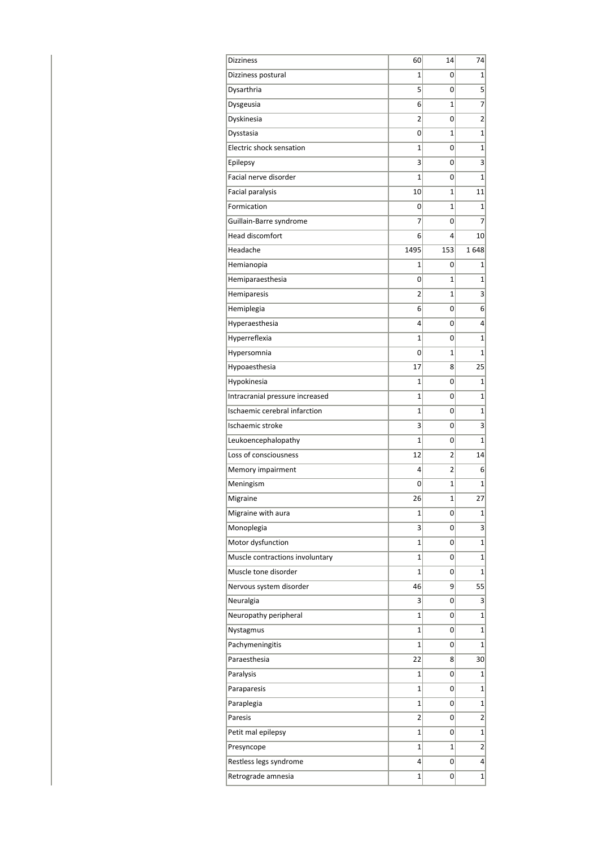| <b>Dizziness</b>                | 60   | 14  | 74             |
|---------------------------------|------|-----|----------------|
| Dizziness postural              | 1    | 0   | 1              |
| Dysarthria                      | 5    | 0   | 5              |
| Dysgeusia                       | 6    | 1   | 7              |
| Dyskinesia                      | 2    | 0   | 2              |
| Dysstasia                       | 0    | 1   | 1              |
| Electric shock sensation        | 1    | 0   | $\mathbf{1}$   |
| Epilepsy                        | 3    | 0   | 3              |
| Facial nerve disorder           | 1    | 0   | 1              |
| Facial paralysis                | 10   | 1   | 11             |
| Formication                     | 0    | 1   | 1              |
| Guillain-Barre syndrome         | 7    | 0   | 7              |
| Head discomfort                 | 6    | 4   | 10             |
| Headache                        | 1495 | 153 | 1648           |
| Hemianopia                      | 1    | 0   | 1              |
| Hemiparaesthesia                | 0    | 1   | $\mathbf{1}$   |
| Hemiparesis                     | 2    | 1   | 3              |
| Hemiplegia                      | 6    | 0   | 6              |
| Hyperaesthesia                  | 4    | 0   | 4              |
| Hyperreflexia                   | 1    | 0   | $\mathbf{1}$   |
| Hypersomnia                     | 0    | 1   | 1              |
| Hypoaesthesia                   | 17   | 8   | 25             |
| Hypokinesia                     | 1    | 0   | $\mathbf 1$    |
| Intracranial pressure increased | 1    | 0   | $\mathbf 1$    |
| Ischaemic cerebral infarction   | 1    | 0   | 1              |
| Ischaemic stroke                | 3    | 0   | 3              |
| Leukoencephalopathy             | 1    | 0   | $\mathbf{1}$   |
| Loss of consciousness           | 12   | 2   | 14             |
| Memory impairment               | 4    | 2   | 6              |
| Meningism                       | 0    | 1   | 1              |
| Migraine                        | 26   | 1   | 27             |
| Migraine with aura              | 1    | 0   | 1              |
| Monoplegia                      | 3    | 0   | 3              |
| Motor dysfunction               | 1    | 0   | $\mathbf{1}$   |
| Muscle contractions involuntary | 1    | 0   | $\mathbf{1}$   |
| Muscle tone disorder            | 1    | 0   | 1              |
| Nervous system disorder         | 46   | 9   | 55             |
| Neuralgia                       | 3    | 0   | 3              |
| Neuropathy peripheral           | 1    | 0   | $\mathbf{1}$   |
| Nystagmus                       | 1    | 0   | $\mathbf{1}$   |
| Pachymeningitis                 | 1    | 0   | 1              |
| Paraesthesia                    | 22   | 8   | 30             |
| Paralysis                       | 1    | 0   | $\mathbf{1}$   |
| Paraparesis                     | 1    | 0   | $\mathbf 1$    |
| Paraplegia                      | 1    | 0   | $\mathbf{1}$   |
| Paresis                         | 2    | 0   | $\overline{2}$ |
| Petit mal epilepsy              | 1    | 0   | 1              |
| Presyncope                      | 1    | 1   | $\overline{2}$ |
| Restless legs syndrome          | 4    | 0   | 4              |
| Retrograde amnesia              | 1    | 0   | $\mathbf{1}$   |
|                                 |      |     |                |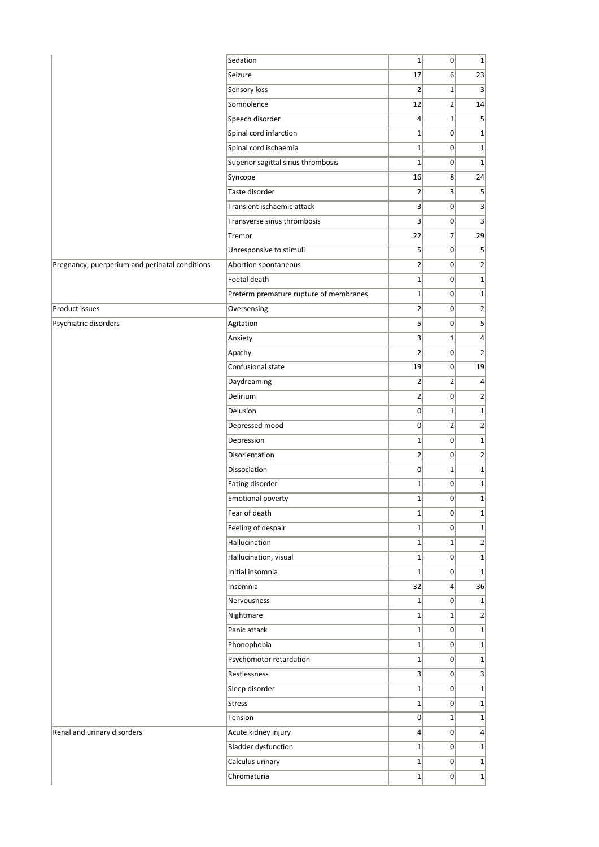|                                                | Sedation                               | $1\vert$        | 0               | $\mathbf{1}$   |
|------------------------------------------------|----------------------------------------|-----------------|-----------------|----------------|
|                                                | Seizure                                | 17              | 6               | 23             |
|                                                | Sensory loss                           | $\overline{2}$  | $1\vert$        | 3              |
|                                                | Somnolence                             | 12              | $\overline{2}$  | 14             |
|                                                | Speech disorder                        | $\vert 4 \vert$ | $\mathbf{1}$    | 5              |
|                                                | Spinal cord infarction                 | $1\vert$        | $\overline{0}$  | $1\,$          |
|                                                | Spinal cord ischaemia                  | $1\vert$        | $\overline{0}$  | $\mathbf{1}$   |
|                                                | Superior sagittal sinus thrombosis     | $\mathbf{1}$    | $\overline{0}$  | $\mathbf 1$    |
|                                                | Syncope                                | 16              | 8               | 24             |
|                                                | Taste disorder                         | $\overline{2}$  | $\overline{3}$  | 5              |
|                                                | Transient ischaemic attack             | 3               | $\Omega$        | 3              |
|                                                | Transverse sinus thrombosis            | 3               | $\Omega$        | 3              |
|                                                | Tremor                                 | 22              | $\overline{7}$  | 29             |
|                                                | Unresponsive to stimuli                | 5               | $\overline{0}$  | 5              |
| Pregnancy, puerperium and perinatal conditions | Abortion spontaneous                   | $\overline{2}$  | $\overline{0}$  | $\overline{2}$ |
|                                                | Foetal death                           | $1\vert$        | $\overline{0}$  | $\mathbf{1}$   |
|                                                | Preterm premature rupture of membranes | $1\vert$        | $\overline{0}$  | $\mathbf 1$    |
| Product issues                                 | Oversensing                            | $\overline{2}$  | $\overline{0}$  | $\overline{2}$ |
| Psychiatric disorders                          | Agitation                              | 5               | $\overline{0}$  | 5              |
|                                                | Anxiety                                | 3               | $1\vert$        | $\overline{4}$ |
|                                                | Apathy                                 | $\overline{2}$  | $\overline{0}$  | $\overline{2}$ |
|                                                | Confusional state                      | 19              | $\overline{0}$  | 19             |
|                                                | Daydreaming                            | $\overline{2}$  | $\overline{2}$  | 4              |
|                                                | Delirium                               | $\overline{2}$  | 0               | $\overline{2}$ |
|                                                | Delusion                               | $\overline{0}$  | $1\overline{ }$ | $\mathbf 1$    |
|                                                | Depressed mood                         | $\overline{0}$  | $\overline{2}$  | $\overline{2}$ |
|                                                | Depression                             | $1\vert$        | $\overline{0}$  | $\mathbf{1}$   |
|                                                | Disorientation                         | $\overline{2}$  | 0               | $\overline{2}$ |
|                                                | Dissociation                           | $\overline{0}$  | $1\vert$        | $\mathbf 1$    |
|                                                | Eating disorder                        | $\mathbf{1}$    | $\overline{0}$  | $\mathbf 1$    |
|                                                | <b>Emotional poverty</b>               | $1\vert$        | $\overline{0}$  | $\mathbf{1}$   |
|                                                | Fear of death                          | $1\vert$        | 0               | $\mathbf{1}$   |
|                                                | Feeling of despair                     | $1\vert$        | 0               | $\mathbf 1$    |
|                                                | Hallucination                          | $1\vert$        | $1\vert$        | $\overline{2}$ |
|                                                | Hallucination, visual                  | $1\vert$        | $\overline{0}$  | $\mathbf{1}$   |
|                                                | Initial insomnia                       | $1\vert$        | 0               | $\mathbf 1$    |
|                                                | Insomnia                               | 32              | $\overline{4}$  | 36             |
|                                                | Nervousness                            | $1\vert$        | $\overline{0}$  | $\mathbf{1}$   |
|                                                | Nightmare                              | $1\vert$        | $1\vert$        | $\overline{2}$ |
|                                                | Panic attack                           | $1\vert$        | 0               | $\mathbf{1}$   |
|                                                | Phonophobia                            | $1\vert$        | $\Omega$        | $\mathbf 1$    |
|                                                | Psychomotor retardation                | $1\vert$        | $\Omega$        | $\mathbf 1$    |
|                                                | Restlessness                           | 3               | $\overline{0}$  | 3              |
|                                                | Sleep disorder                         | $1\vert$        | 0               | $1\,$          |
|                                                | <b>Stress</b>                          | $1\vert$        | 0               | $\mathbf 1$    |
|                                                | Tension                                | 0               | $1\vert$        | $\mathbf 1$    |
| Renal and urinary disorders                    | Acute kidney injury                    | $\vert 4 \vert$ | $\Omega$        | $\overline{4}$ |
|                                                | <b>Bladder dysfunction</b>             | $1\vert$        | 0               | $\mathbf 1$    |
|                                                | Calculus urinary                       | $1\vert$        | 0               | $\mathbf 1$    |
|                                                | Chromaturia                            | $1\vert$        | 0               | $\mathbf{1}$   |
|                                                |                                        |                 |                 |                |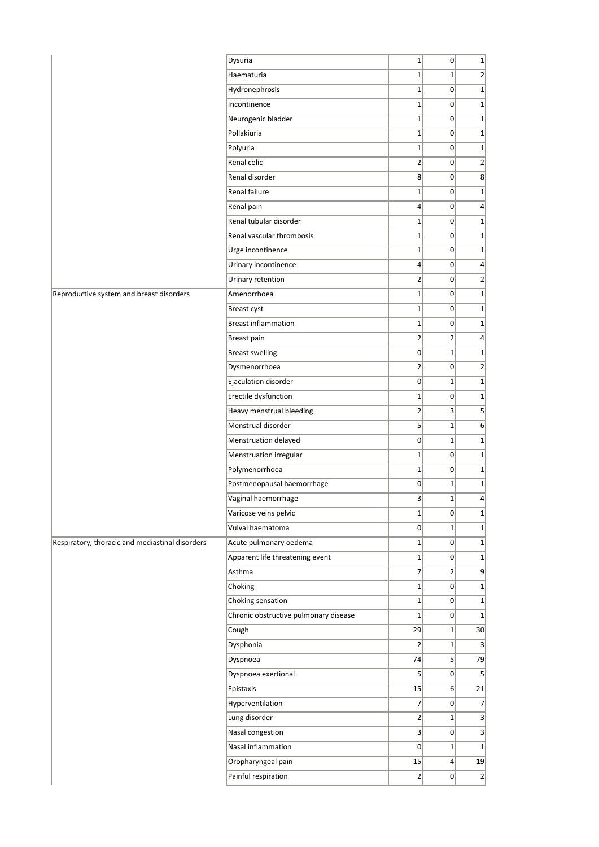| $\overline{2}$<br>Haematuria<br>$1\vert$<br>$1\vert$<br>$1\vert$<br>$\overline{0}$<br>Hydronephrosis<br>$\mathbf 1$<br>$1\vert$<br>Incontinence<br>$\overline{0}$<br>$1\,$<br>$1\vert$<br>Neurogenic bladder<br>$\overline{0}$<br>$1\,$<br>Pollakiuria<br>$1\vert$<br>$\overline{0}$<br>$\mathbf 1$<br>$1\vert$<br>$\overline{0}$<br>$\mathbf 1$<br>Polyuria<br>$\overline{2}$<br>Renal colic<br>$\overline{0}$<br>$\overline{2}$<br>Renal disorder<br>8<br>8<br>$\overline{0}$<br>Renal failure<br>$1\vert$<br> 0 <br>$\mathbf 1$<br>$\vert 4 \vert$<br>$\overline{0}$<br>$\overline{4}$<br>Renal pain<br>Renal tubular disorder<br>$1\vert$<br>$\overline{0}$<br>$\mathbf 1$<br>$1\vert$<br>Renal vascular thrombosis<br>$\overline{0}$<br>$\mathbf{1}$<br>$1\vert$<br>Urge incontinence<br>$\overline{0}$<br>$\mathbf 1$<br>$\vert 4 \vert$<br>Urinary incontinence<br>$\overline{0}$<br>4<br>$\overline{2}$<br>$\overline{2}$<br>Urinary retention<br>$\Omega$<br>Amenorrhoea<br>$1\vert$<br>$\Omega$<br>$\mathbf 1$<br>$1\vert$<br>$\mathbf 1$<br>Breast cyst<br>$\overline{0}$<br><b>Breast inflammation</b><br>$1\vert$<br>$\overline{0}$<br>$\mathbf 1$<br>$\overline{2}$<br>$\overline{2}$<br>Breast pain<br>$\overline{4}$<br><b>Breast swelling</b><br>$\overline{0}$<br>$1\overline{ }$<br>$\mathbf{1}$<br>$\overline{2}$<br>Dysmenorrhoea<br>$\overline{0}$<br>$\overline{2}$<br>Ejaculation disorder<br>$\overline{0}$<br>$1\overline{ }$<br>$\mathbf 1$<br>Erectile dysfunction<br>$1\vert$<br>$\overline{0}$<br>$\mathbf 1$<br>$\overline{2}$<br>Heavy menstrual bleeding<br>$\overline{3}$<br>5<br>Menstrual disorder<br>5 <sup>2</sup><br>$1\vert$<br>6<br>$\overline{0}$<br>Menstruation delayed<br>$1\vert$<br>$\mathbf 1$<br>Menstruation irregular<br>$1\vert$<br>$\overline{0}$<br>$\mathbf 1$<br>$1\vert$<br>Polymenorrhoea<br> 0 <br>$\mathbf 1$<br>Postmenopausal haemorrhage<br>$\overline{0}$<br>$1\overline{ }$<br>$\mathbf 1$<br>$\vert 3 \vert$<br>$1\vert$<br>Vaginal haemorrhage<br>$\overline{4}$<br>$1\vert$<br>Varicose veins pelvic<br> 0 <br>$\mathbf{1}$<br>Vulval haematoma<br>$\overline{0}$<br>$1\vert$<br>$\mathbf{1}$<br>$1\vert$<br>Acute pulmonary oedema<br>$\Omega$<br>$\mathbf{1}$<br>Apparent life threatening event<br>$1\vert$<br>$\mathbf{1}$<br> 0 <br>$\overline{7}$<br>Asthma<br>$\overline{2}$<br>9<br>$1\vert$<br> 0 <br>Choking<br>$\mathbf{1}$<br>Choking sensation<br>$1\vert$<br>$\mathbf{1}$<br>$\Omega$<br>Chronic obstructive pulmonary disease<br>$1\vert$<br>$\mathbf{1}$<br> 0 <br>Cough<br>29<br>30<br>$1\overline{ }$<br>$\overline{2}$<br>Dysphonia<br>$1\overline{ }$<br>3<br>74<br>5 <sup>1</sup><br>79<br>Dyspnoea<br>$\mathsf{S}$<br>Dyspnoea exertional<br>$\overline{0}$<br>5<br>15<br>6<br>21<br>Epistaxis<br>$\overline{7}$<br>Hyperventilation<br>$\overline{0}$<br>$\overline{7}$<br>2<br>Lung disorder<br>$1\vert$<br>3<br>Nasal congestion<br>3<br>3 <sup>2</sup><br>$\Omega$<br>Nasal inflammation<br> 0 <br>$1\overline{ }$<br>$\mathbf{1}$<br>Oropharyngeal pain<br>15<br>$\overline{4}$<br>19<br>Painful respiration<br>2<br> 0 <br>$\overline{2}$ |                                                 | Dysuria | $1\vert$ | $\mathbf 0$ | $\mathbf 1$ |
|-------------------------------------------------------------------------------------------------------------------------------------------------------------------------------------------------------------------------------------------------------------------------------------------------------------------------------------------------------------------------------------------------------------------------------------------------------------------------------------------------------------------------------------------------------------------------------------------------------------------------------------------------------------------------------------------------------------------------------------------------------------------------------------------------------------------------------------------------------------------------------------------------------------------------------------------------------------------------------------------------------------------------------------------------------------------------------------------------------------------------------------------------------------------------------------------------------------------------------------------------------------------------------------------------------------------------------------------------------------------------------------------------------------------------------------------------------------------------------------------------------------------------------------------------------------------------------------------------------------------------------------------------------------------------------------------------------------------------------------------------------------------------------------------------------------------------------------------------------------------------------------------------------------------------------------------------------------------------------------------------------------------------------------------------------------------------------------------------------------------------------------------------------------------------------------------------------------------------------------------------------------------------------------------------------------------------------------------------------------------------------------------------------------------------------------------------------------------------------------------------------------------------------------------------------------------------------------------------------------------------------------------------------------------------------------------------------------------------------------------------------------------------------------------------------------------------------------------------------------------------------------------------------------------------------------------------------------------------------------------------------------------------------------------------------------------------------------------------------------------------------------------|-------------------------------------------------|---------|----------|-------------|-------------|
|                                                                                                                                                                                                                                                                                                                                                                                                                                                                                                                                                                                                                                                                                                                                                                                                                                                                                                                                                                                                                                                                                                                                                                                                                                                                                                                                                                                                                                                                                                                                                                                                                                                                                                                                                                                                                                                                                                                                                                                                                                                                                                                                                                                                                                                                                                                                                                                                                                                                                                                                                                                                                                                                                                                                                                                                                                                                                                                                                                                                                                                                                                                                           |                                                 |         |          |             |             |
|                                                                                                                                                                                                                                                                                                                                                                                                                                                                                                                                                                                                                                                                                                                                                                                                                                                                                                                                                                                                                                                                                                                                                                                                                                                                                                                                                                                                                                                                                                                                                                                                                                                                                                                                                                                                                                                                                                                                                                                                                                                                                                                                                                                                                                                                                                                                                                                                                                                                                                                                                                                                                                                                                                                                                                                                                                                                                                                                                                                                                                                                                                                                           |                                                 |         |          |             |             |
|                                                                                                                                                                                                                                                                                                                                                                                                                                                                                                                                                                                                                                                                                                                                                                                                                                                                                                                                                                                                                                                                                                                                                                                                                                                                                                                                                                                                                                                                                                                                                                                                                                                                                                                                                                                                                                                                                                                                                                                                                                                                                                                                                                                                                                                                                                                                                                                                                                                                                                                                                                                                                                                                                                                                                                                                                                                                                                                                                                                                                                                                                                                                           |                                                 |         |          |             |             |
|                                                                                                                                                                                                                                                                                                                                                                                                                                                                                                                                                                                                                                                                                                                                                                                                                                                                                                                                                                                                                                                                                                                                                                                                                                                                                                                                                                                                                                                                                                                                                                                                                                                                                                                                                                                                                                                                                                                                                                                                                                                                                                                                                                                                                                                                                                                                                                                                                                                                                                                                                                                                                                                                                                                                                                                                                                                                                                                                                                                                                                                                                                                                           |                                                 |         |          |             |             |
|                                                                                                                                                                                                                                                                                                                                                                                                                                                                                                                                                                                                                                                                                                                                                                                                                                                                                                                                                                                                                                                                                                                                                                                                                                                                                                                                                                                                                                                                                                                                                                                                                                                                                                                                                                                                                                                                                                                                                                                                                                                                                                                                                                                                                                                                                                                                                                                                                                                                                                                                                                                                                                                                                                                                                                                                                                                                                                                                                                                                                                                                                                                                           |                                                 |         |          |             |             |
|                                                                                                                                                                                                                                                                                                                                                                                                                                                                                                                                                                                                                                                                                                                                                                                                                                                                                                                                                                                                                                                                                                                                                                                                                                                                                                                                                                                                                                                                                                                                                                                                                                                                                                                                                                                                                                                                                                                                                                                                                                                                                                                                                                                                                                                                                                                                                                                                                                                                                                                                                                                                                                                                                                                                                                                                                                                                                                                                                                                                                                                                                                                                           |                                                 |         |          |             |             |
|                                                                                                                                                                                                                                                                                                                                                                                                                                                                                                                                                                                                                                                                                                                                                                                                                                                                                                                                                                                                                                                                                                                                                                                                                                                                                                                                                                                                                                                                                                                                                                                                                                                                                                                                                                                                                                                                                                                                                                                                                                                                                                                                                                                                                                                                                                                                                                                                                                                                                                                                                                                                                                                                                                                                                                                                                                                                                                                                                                                                                                                                                                                                           |                                                 |         |          |             |             |
|                                                                                                                                                                                                                                                                                                                                                                                                                                                                                                                                                                                                                                                                                                                                                                                                                                                                                                                                                                                                                                                                                                                                                                                                                                                                                                                                                                                                                                                                                                                                                                                                                                                                                                                                                                                                                                                                                                                                                                                                                                                                                                                                                                                                                                                                                                                                                                                                                                                                                                                                                                                                                                                                                                                                                                                                                                                                                                                                                                                                                                                                                                                                           |                                                 |         |          |             |             |
|                                                                                                                                                                                                                                                                                                                                                                                                                                                                                                                                                                                                                                                                                                                                                                                                                                                                                                                                                                                                                                                                                                                                                                                                                                                                                                                                                                                                                                                                                                                                                                                                                                                                                                                                                                                                                                                                                                                                                                                                                                                                                                                                                                                                                                                                                                                                                                                                                                                                                                                                                                                                                                                                                                                                                                                                                                                                                                                                                                                                                                                                                                                                           |                                                 |         |          |             |             |
|                                                                                                                                                                                                                                                                                                                                                                                                                                                                                                                                                                                                                                                                                                                                                                                                                                                                                                                                                                                                                                                                                                                                                                                                                                                                                                                                                                                                                                                                                                                                                                                                                                                                                                                                                                                                                                                                                                                                                                                                                                                                                                                                                                                                                                                                                                                                                                                                                                                                                                                                                                                                                                                                                                                                                                                                                                                                                                                                                                                                                                                                                                                                           |                                                 |         |          |             |             |
|                                                                                                                                                                                                                                                                                                                                                                                                                                                                                                                                                                                                                                                                                                                                                                                                                                                                                                                                                                                                                                                                                                                                                                                                                                                                                                                                                                                                                                                                                                                                                                                                                                                                                                                                                                                                                                                                                                                                                                                                                                                                                                                                                                                                                                                                                                                                                                                                                                                                                                                                                                                                                                                                                                                                                                                                                                                                                                                                                                                                                                                                                                                                           |                                                 |         |          |             |             |
|                                                                                                                                                                                                                                                                                                                                                                                                                                                                                                                                                                                                                                                                                                                                                                                                                                                                                                                                                                                                                                                                                                                                                                                                                                                                                                                                                                                                                                                                                                                                                                                                                                                                                                                                                                                                                                                                                                                                                                                                                                                                                                                                                                                                                                                                                                                                                                                                                                                                                                                                                                                                                                                                                                                                                                                                                                                                                                                                                                                                                                                                                                                                           |                                                 |         |          |             |             |
|                                                                                                                                                                                                                                                                                                                                                                                                                                                                                                                                                                                                                                                                                                                                                                                                                                                                                                                                                                                                                                                                                                                                                                                                                                                                                                                                                                                                                                                                                                                                                                                                                                                                                                                                                                                                                                                                                                                                                                                                                                                                                                                                                                                                                                                                                                                                                                                                                                                                                                                                                                                                                                                                                                                                                                                                                                                                                                                                                                                                                                                                                                                                           |                                                 |         |          |             |             |
|                                                                                                                                                                                                                                                                                                                                                                                                                                                                                                                                                                                                                                                                                                                                                                                                                                                                                                                                                                                                                                                                                                                                                                                                                                                                                                                                                                                                                                                                                                                                                                                                                                                                                                                                                                                                                                                                                                                                                                                                                                                                                                                                                                                                                                                                                                                                                                                                                                                                                                                                                                                                                                                                                                                                                                                                                                                                                                                                                                                                                                                                                                                                           |                                                 |         |          |             |             |
|                                                                                                                                                                                                                                                                                                                                                                                                                                                                                                                                                                                                                                                                                                                                                                                                                                                                                                                                                                                                                                                                                                                                                                                                                                                                                                                                                                                                                                                                                                                                                                                                                                                                                                                                                                                                                                                                                                                                                                                                                                                                                                                                                                                                                                                                                                                                                                                                                                                                                                                                                                                                                                                                                                                                                                                                                                                                                                                                                                                                                                                                                                                                           |                                                 |         |          |             |             |
|                                                                                                                                                                                                                                                                                                                                                                                                                                                                                                                                                                                                                                                                                                                                                                                                                                                                                                                                                                                                                                                                                                                                                                                                                                                                                                                                                                                                                                                                                                                                                                                                                                                                                                                                                                                                                                                                                                                                                                                                                                                                                                                                                                                                                                                                                                                                                                                                                                                                                                                                                                                                                                                                                                                                                                                                                                                                                                                                                                                                                                                                                                                                           | Reproductive system and breast disorders        |         |          |             |             |
|                                                                                                                                                                                                                                                                                                                                                                                                                                                                                                                                                                                                                                                                                                                                                                                                                                                                                                                                                                                                                                                                                                                                                                                                                                                                                                                                                                                                                                                                                                                                                                                                                                                                                                                                                                                                                                                                                                                                                                                                                                                                                                                                                                                                                                                                                                                                                                                                                                                                                                                                                                                                                                                                                                                                                                                                                                                                                                                                                                                                                                                                                                                                           |                                                 |         |          |             |             |
|                                                                                                                                                                                                                                                                                                                                                                                                                                                                                                                                                                                                                                                                                                                                                                                                                                                                                                                                                                                                                                                                                                                                                                                                                                                                                                                                                                                                                                                                                                                                                                                                                                                                                                                                                                                                                                                                                                                                                                                                                                                                                                                                                                                                                                                                                                                                                                                                                                                                                                                                                                                                                                                                                                                                                                                                                                                                                                                                                                                                                                                                                                                                           |                                                 |         |          |             |             |
|                                                                                                                                                                                                                                                                                                                                                                                                                                                                                                                                                                                                                                                                                                                                                                                                                                                                                                                                                                                                                                                                                                                                                                                                                                                                                                                                                                                                                                                                                                                                                                                                                                                                                                                                                                                                                                                                                                                                                                                                                                                                                                                                                                                                                                                                                                                                                                                                                                                                                                                                                                                                                                                                                                                                                                                                                                                                                                                                                                                                                                                                                                                                           |                                                 |         |          |             |             |
|                                                                                                                                                                                                                                                                                                                                                                                                                                                                                                                                                                                                                                                                                                                                                                                                                                                                                                                                                                                                                                                                                                                                                                                                                                                                                                                                                                                                                                                                                                                                                                                                                                                                                                                                                                                                                                                                                                                                                                                                                                                                                                                                                                                                                                                                                                                                                                                                                                                                                                                                                                                                                                                                                                                                                                                                                                                                                                                                                                                                                                                                                                                                           |                                                 |         |          |             |             |
|                                                                                                                                                                                                                                                                                                                                                                                                                                                                                                                                                                                                                                                                                                                                                                                                                                                                                                                                                                                                                                                                                                                                                                                                                                                                                                                                                                                                                                                                                                                                                                                                                                                                                                                                                                                                                                                                                                                                                                                                                                                                                                                                                                                                                                                                                                                                                                                                                                                                                                                                                                                                                                                                                                                                                                                                                                                                                                                                                                                                                                                                                                                                           |                                                 |         |          |             |             |
|                                                                                                                                                                                                                                                                                                                                                                                                                                                                                                                                                                                                                                                                                                                                                                                                                                                                                                                                                                                                                                                                                                                                                                                                                                                                                                                                                                                                                                                                                                                                                                                                                                                                                                                                                                                                                                                                                                                                                                                                                                                                                                                                                                                                                                                                                                                                                                                                                                                                                                                                                                                                                                                                                                                                                                                                                                                                                                                                                                                                                                                                                                                                           |                                                 |         |          |             |             |
|                                                                                                                                                                                                                                                                                                                                                                                                                                                                                                                                                                                                                                                                                                                                                                                                                                                                                                                                                                                                                                                                                                                                                                                                                                                                                                                                                                                                                                                                                                                                                                                                                                                                                                                                                                                                                                                                                                                                                                                                                                                                                                                                                                                                                                                                                                                                                                                                                                                                                                                                                                                                                                                                                                                                                                                                                                                                                                                                                                                                                                                                                                                                           |                                                 |         |          |             |             |
|                                                                                                                                                                                                                                                                                                                                                                                                                                                                                                                                                                                                                                                                                                                                                                                                                                                                                                                                                                                                                                                                                                                                                                                                                                                                                                                                                                                                                                                                                                                                                                                                                                                                                                                                                                                                                                                                                                                                                                                                                                                                                                                                                                                                                                                                                                                                                                                                                                                                                                                                                                                                                                                                                                                                                                                                                                                                                                                                                                                                                                                                                                                                           |                                                 |         |          |             |             |
|                                                                                                                                                                                                                                                                                                                                                                                                                                                                                                                                                                                                                                                                                                                                                                                                                                                                                                                                                                                                                                                                                                                                                                                                                                                                                                                                                                                                                                                                                                                                                                                                                                                                                                                                                                                                                                                                                                                                                                                                                                                                                                                                                                                                                                                                                                                                                                                                                                                                                                                                                                                                                                                                                                                                                                                                                                                                                                                                                                                                                                                                                                                                           |                                                 |         |          |             |             |
|                                                                                                                                                                                                                                                                                                                                                                                                                                                                                                                                                                                                                                                                                                                                                                                                                                                                                                                                                                                                                                                                                                                                                                                                                                                                                                                                                                                                                                                                                                                                                                                                                                                                                                                                                                                                                                                                                                                                                                                                                                                                                                                                                                                                                                                                                                                                                                                                                                                                                                                                                                                                                                                                                                                                                                                                                                                                                                                                                                                                                                                                                                                                           |                                                 |         |          |             |             |
|                                                                                                                                                                                                                                                                                                                                                                                                                                                                                                                                                                                                                                                                                                                                                                                                                                                                                                                                                                                                                                                                                                                                                                                                                                                                                                                                                                                                                                                                                                                                                                                                                                                                                                                                                                                                                                                                                                                                                                                                                                                                                                                                                                                                                                                                                                                                                                                                                                                                                                                                                                                                                                                                                                                                                                                                                                                                                                                                                                                                                                                                                                                                           |                                                 |         |          |             |             |
|                                                                                                                                                                                                                                                                                                                                                                                                                                                                                                                                                                                                                                                                                                                                                                                                                                                                                                                                                                                                                                                                                                                                                                                                                                                                                                                                                                                                                                                                                                                                                                                                                                                                                                                                                                                                                                                                                                                                                                                                                                                                                                                                                                                                                                                                                                                                                                                                                                                                                                                                                                                                                                                                                                                                                                                                                                                                                                                                                                                                                                                                                                                                           |                                                 |         |          |             |             |
|                                                                                                                                                                                                                                                                                                                                                                                                                                                                                                                                                                                                                                                                                                                                                                                                                                                                                                                                                                                                                                                                                                                                                                                                                                                                                                                                                                                                                                                                                                                                                                                                                                                                                                                                                                                                                                                                                                                                                                                                                                                                                                                                                                                                                                                                                                                                                                                                                                                                                                                                                                                                                                                                                                                                                                                                                                                                                                                                                                                                                                                                                                                                           |                                                 |         |          |             |             |
|                                                                                                                                                                                                                                                                                                                                                                                                                                                                                                                                                                                                                                                                                                                                                                                                                                                                                                                                                                                                                                                                                                                                                                                                                                                                                                                                                                                                                                                                                                                                                                                                                                                                                                                                                                                                                                                                                                                                                                                                                                                                                                                                                                                                                                                                                                                                                                                                                                                                                                                                                                                                                                                                                                                                                                                                                                                                                                                                                                                                                                                                                                                                           |                                                 |         |          |             |             |
|                                                                                                                                                                                                                                                                                                                                                                                                                                                                                                                                                                                                                                                                                                                                                                                                                                                                                                                                                                                                                                                                                                                                                                                                                                                                                                                                                                                                                                                                                                                                                                                                                                                                                                                                                                                                                                                                                                                                                                                                                                                                                                                                                                                                                                                                                                                                                                                                                                                                                                                                                                                                                                                                                                                                                                                                                                                                                                                                                                                                                                                                                                                                           |                                                 |         |          |             |             |
|                                                                                                                                                                                                                                                                                                                                                                                                                                                                                                                                                                                                                                                                                                                                                                                                                                                                                                                                                                                                                                                                                                                                                                                                                                                                                                                                                                                                                                                                                                                                                                                                                                                                                                                                                                                                                                                                                                                                                                                                                                                                                                                                                                                                                                                                                                                                                                                                                                                                                                                                                                                                                                                                                                                                                                                                                                                                                                                                                                                                                                                                                                                                           |                                                 |         |          |             |             |
|                                                                                                                                                                                                                                                                                                                                                                                                                                                                                                                                                                                                                                                                                                                                                                                                                                                                                                                                                                                                                                                                                                                                                                                                                                                                                                                                                                                                                                                                                                                                                                                                                                                                                                                                                                                                                                                                                                                                                                                                                                                                                                                                                                                                                                                                                                                                                                                                                                                                                                                                                                                                                                                                                                                                                                                                                                                                                                                                                                                                                                                                                                                                           | Respiratory, thoracic and mediastinal disorders |         |          |             |             |
|                                                                                                                                                                                                                                                                                                                                                                                                                                                                                                                                                                                                                                                                                                                                                                                                                                                                                                                                                                                                                                                                                                                                                                                                                                                                                                                                                                                                                                                                                                                                                                                                                                                                                                                                                                                                                                                                                                                                                                                                                                                                                                                                                                                                                                                                                                                                                                                                                                                                                                                                                                                                                                                                                                                                                                                                                                                                                                                                                                                                                                                                                                                                           |                                                 |         |          |             |             |
|                                                                                                                                                                                                                                                                                                                                                                                                                                                                                                                                                                                                                                                                                                                                                                                                                                                                                                                                                                                                                                                                                                                                                                                                                                                                                                                                                                                                                                                                                                                                                                                                                                                                                                                                                                                                                                                                                                                                                                                                                                                                                                                                                                                                                                                                                                                                                                                                                                                                                                                                                                                                                                                                                                                                                                                                                                                                                                                                                                                                                                                                                                                                           |                                                 |         |          |             |             |
|                                                                                                                                                                                                                                                                                                                                                                                                                                                                                                                                                                                                                                                                                                                                                                                                                                                                                                                                                                                                                                                                                                                                                                                                                                                                                                                                                                                                                                                                                                                                                                                                                                                                                                                                                                                                                                                                                                                                                                                                                                                                                                                                                                                                                                                                                                                                                                                                                                                                                                                                                                                                                                                                                                                                                                                                                                                                                                                                                                                                                                                                                                                                           |                                                 |         |          |             |             |
|                                                                                                                                                                                                                                                                                                                                                                                                                                                                                                                                                                                                                                                                                                                                                                                                                                                                                                                                                                                                                                                                                                                                                                                                                                                                                                                                                                                                                                                                                                                                                                                                                                                                                                                                                                                                                                                                                                                                                                                                                                                                                                                                                                                                                                                                                                                                                                                                                                                                                                                                                                                                                                                                                                                                                                                                                                                                                                                                                                                                                                                                                                                                           |                                                 |         |          |             |             |
|                                                                                                                                                                                                                                                                                                                                                                                                                                                                                                                                                                                                                                                                                                                                                                                                                                                                                                                                                                                                                                                                                                                                                                                                                                                                                                                                                                                                                                                                                                                                                                                                                                                                                                                                                                                                                                                                                                                                                                                                                                                                                                                                                                                                                                                                                                                                                                                                                                                                                                                                                                                                                                                                                                                                                                                                                                                                                                                                                                                                                                                                                                                                           |                                                 |         |          |             |             |
|                                                                                                                                                                                                                                                                                                                                                                                                                                                                                                                                                                                                                                                                                                                                                                                                                                                                                                                                                                                                                                                                                                                                                                                                                                                                                                                                                                                                                                                                                                                                                                                                                                                                                                                                                                                                                                                                                                                                                                                                                                                                                                                                                                                                                                                                                                                                                                                                                                                                                                                                                                                                                                                                                                                                                                                                                                                                                                                                                                                                                                                                                                                                           |                                                 |         |          |             |             |
|                                                                                                                                                                                                                                                                                                                                                                                                                                                                                                                                                                                                                                                                                                                                                                                                                                                                                                                                                                                                                                                                                                                                                                                                                                                                                                                                                                                                                                                                                                                                                                                                                                                                                                                                                                                                                                                                                                                                                                                                                                                                                                                                                                                                                                                                                                                                                                                                                                                                                                                                                                                                                                                                                                                                                                                                                                                                                                                                                                                                                                                                                                                                           |                                                 |         |          |             |             |
|                                                                                                                                                                                                                                                                                                                                                                                                                                                                                                                                                                                                                                                                                                                                                                                                                                                                                                                                                                                                                                                                                                                                                                                                                                                                                                                                                                                                                                                                                                                                                                                                                                                                                                                                                                                                                                                                                                                                                                                                                                                                                                                                                                                                                                                                                                                                                                                                                                                                                                                                                                                                                                                                                                                                                                                                                                                                                                                                                                                                                                                                                                                                           |                                                 |         |          |             |             |
|                                                                                                                                                                                                                                                                                                                                                                                                                                                                                                                                                                                                                                                                                                                                                                                                                                                                                                                                                                                                                                                                                                                                                                                                                                                                                                                                                                                                                                                                                                                                                                                                                                                                                                                                                                                                                                                                                                                                                                                                                                                                                                                                                                                                                                                                                                                                                                                                                                                                                                                                                                                                                                                                                                                                                                                                                                                                                                                                                                                                                                                                                                                                           |                                                 |         |          |             |             |
|                                                                                                                                                                                                                                                                                                                                                                                                                                                                                                                                                                                                                                                                                                                                                                                                                                                                                                                                                                                                                                                                                                                                                                                                                                                                                                                                                                                                                                                                                                                                                                                                                                                                                                                                                                                                                                                                                                                                                                                                                                                                                                                                                                                                                                                                                                                                                                                                                                                                                                                                                                                                                                                                                                                                                                                                                                                                                                                                                                                                                                                                                                                                           |                                                 |         |          |             |             |
|                                                                                                                                                                                                                                                                                                                                                                                                                                                                                                                                                                                                                                                                                                                                                                                                                                                                                                                                                                                                                                                                                                                                                                                                                                                                                                                                                                                                                                                                                                                                                                                                                                                                                                                                                                                                                                                                                                                                                                                                                                                                                                                                                                                                                                                                                                                                                                                                                                                                                                                                                                                                                                                                                                                                                                                                                                                                                                                                                                                                                                                                                                                                           |                                                 |         |          |             |             |
|                                                                                                                                                                                                                                                                                                                                                                                                                                                                                                                                                                                                                                                                                                                                                                                                                                                                                                                                                                                                                                                                                                                                                                                                                                                                                                                                                                                                                                                                                                                                                                                                                                                                                                                                                                                                                                                                                                                                                                                                                                                                                                                                                                                                                                                                                                                                                                                                                                                                                                                                                                                                                                                                                                                                                                                                                                                                                                                                                                                                                                                                                                                                           |                                                 |         |          |             |             |
|                                                                                                                                                                                                                                                                                                                                                                                                                                                                                                                                                                                                                                                                                                                                                                                                                                                                                                                                                                                                                                                                                                                                                                                                                                                                                                                                                                                                                                                                                                                                                                                                                                                                                                                                                                                                                                                                                                                                                                                                                                                                                                                                                                                                                                                                                                                                                                                                                                                                                                                                                                                                                                                                                                                                                                                                                                                                                                                                                                                                                                                                                                                                           |                                                 |         |          |             |             |
|                                                                                                                                                                                                                                                                                                                                                                                                                                                                                                                                                                                                                                                                                                                                                                                                                                                                                                                                                                                                                                                                                                                                                                                                                                                                                                                                                                                                                                                                                                                                                                                                                                                                                                                                                                                                                                                                                                                                                                                                                                                                                                                                                                                                                                                                                                                                                                                                                                                                                                                                                                                                                                                                                                                                                                                                                                                                                                                                                                                                                                                                                                                                           |                                                 |         |          |             |             |
|                                                                                                                                                                                                                                                                                                                                                                                                                                                                                                                                                                                                                                                                                                                                                                                                                                                                                                                                                                                                                                                                                                                                                                                                                                                                                                                                                                                                                                                                                                                                                                                                                                                                                                                                                                                                                                                                                                                                                                                                                                                                                                                                                                                                                                                                                                                                                                                                                                                                                                                                                                                                                                                                                                                                                                                                                                                                                                                                                                                                                                                                                                                                           |                                                 |         |          |             |             |
|                                                                                                                                                                                                                                                                                                                                                                                                                                                                                                                                                                                                                                                                                                                                                                                                                                                                                                                                                                                                                                                                                                                                                                                                                                                                                                                                                                                                                                                                                                                                                                                                                                                                                                                                                                                                                                                                                                                                                                                                                                                                                                                                                                                                                                                                                                                                                                                                                                                                                                                                                                                                                                                                                                                                                                                                                                                                                                                                                                                                                                                                                                                                           |                                                 |         |          |             |             |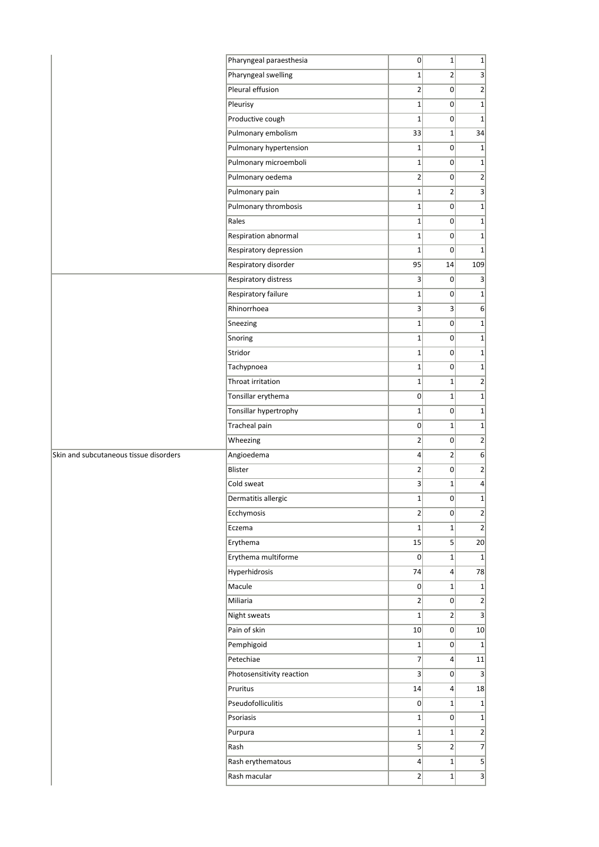|                                        | Pharyngeal paraesthesia   | 0               | $1\vert$         | 1                       |
|----------------------------------------|---------------------------|-----------------|------------------|-------------------------|
|                                        | Pharyngeal swelling       | $1\vert$        | 2                | 3                       |
|                                        | Pleural effusion          | $\overline{2}$  | 0                | $\overline{2}$          |
|                                        | Pleurisy                  | $\mathbf 1$     | 0                | $1\vert$                |
|                                        | Productive cough          | $\mathbf 1$     | 0                | $1\vert$                |
|                                        | Pulmonary embolism        | 33              | $1\vert$         | 34                      |
|                                        | Pulmonary hypertension    | $\mathbf{1}$    | 0                | $1\vert$                |
|                                        | Pulmonary microemboli     | $1\vert$        | 0                | 1                       |
|                                        | Pulmonary oedema          | $\overline{2}$  | 0                | $\left  \right $        |
|                                        | Pulmonary pain            | $1\vert$        | 2                | $\vert$ 3               |
|                                        | Pulmonary thrombosis      | $1\vert$        | $\overline{0}$   | 1                       |
|                                        | Rales                     | $\mathbf 1$     | 0                | $1\vert$                |
|                                        | Respiration abnormal      | $1\vert$        | 0                | 1                       |
|                                        | Respiratory depression    | $\mathbf 1$     | 0                | $1\vert$                |
|                                        | Respiratory disorder      | 95              | 14               | 109                     |
|                                        | Respiratory distress      | 3               | 0                | $\vert$ 3               |
|                                        | Respiratory failure       | $\mathbf 1$     | 0                | 1                       |
|                                        | Rhinorrhoea               | $\vert 3 \vert$ | 3 <sup>1</sup>   | 6                       |
|                                        | Sneezing                  | $\mathbf 1$     | 0                | 1                       |
|                                        | Snoring                   | $1\vert$        | 0                | 1                       |
|                                        | Stridor                   | $\mathbf 1$     | 0                | 1                       |
|                                        | Tachypnoea                | $1\vert$        | 0                | $1\vert$                |
|                                        | Throat irritation         | $\mathbf 1$     | $1\vert$         | $\overline{2}$          |
|                                        | Tonsillar erythema        | $\overline{0}$  | $1\vert$         | $1\vert$                |
|                                        | Tonsillar hypertrophy     | $1\vert$        | $\overline{0}$   | 1                       |
|                                        | <b>Tracheal pain</b>      | $\overline{0}$  | $1\vert$         | 1                       |
|                                        | Wheezing                  | $\overline{2}$  | 0                | $\overline{2}$          |
| Skin and subcutaneous tissue disorders | Angioedema                | $\vert$         | $\left 2\right $ | 6                       |
|                                        | Blister                   | $\overline{2}$  | 0                | $\overline{2}$          |
|                                        | Cold sweat                | $\vert 3 \vert$ | $1\vert$         | $\vert 4 \vert$         |
|                                        | Dermatitis allergic       | $\mathbf 1$     | $\overline{0}$   | $\overline{1}$          |
|                                        | Ecchymosis                | $2\vert$        | 0                | $\overline{2}$          |
|                                        | Eczema                    | $1\vert$        | $1\vert$         | $\overline{2}$          |
|                                        | Erythema                  | 15              | 5 <sup>2</sup>   | 20                      |
|                                        | Erythema multiforme       | 0               | $1\vert$         | 1                       |
|                                        | Hyperhidrosis             | 74              | $\vert$          | 78                      |
|                                        | Macule                    | 0               | $1\vert$         | 1                       |
|                                        | Miliaria                  | $\overline{2}$  | 0                | 2                       |
|                                        | Night sweats              | $1\vert$        | $\overline{2}$   | $\vert$ 3               |
|                                        | Pain of skin              | 10              | 0                | 10                      |
|                                        | Pemphigoid                | $1\vert$        | 0                | $1\vert$                |
|                                        | Petechiae                 | 7               | $\vert$          | 11                      |
|                                        | Photosensitivity reaction | $\vert 3 \vert$ | 0                | $\overline{\mathbf{3}}$ |
|                                        | Pruritus                  | 14              | $\vert$          | 18                      |
|                                        | Pseudofolliculitis        | $\overline{0}$  | $1\vert$         | 1                       |
|                                        | Psoriasis                 | $1\vert$        | 0                | 1                       |
|                                        | Purpura                   | $1\vert$        | $1\vert$         | $\left  \right $        |
|                                        | Rash                      | 5 <sup>2</sup>  | $\overline{2}$   | $\overline{7}$          |
|                                        | Rash erythematous         | $\vert 4 \vert$ | $1\vert$         | $\vert$                 |
|                                        | Rash macular              | $\overline{2}$  | $1\vert$         | $\overline{\mathbf{3}}$ |
|                                        |                           |                 |                  |                         |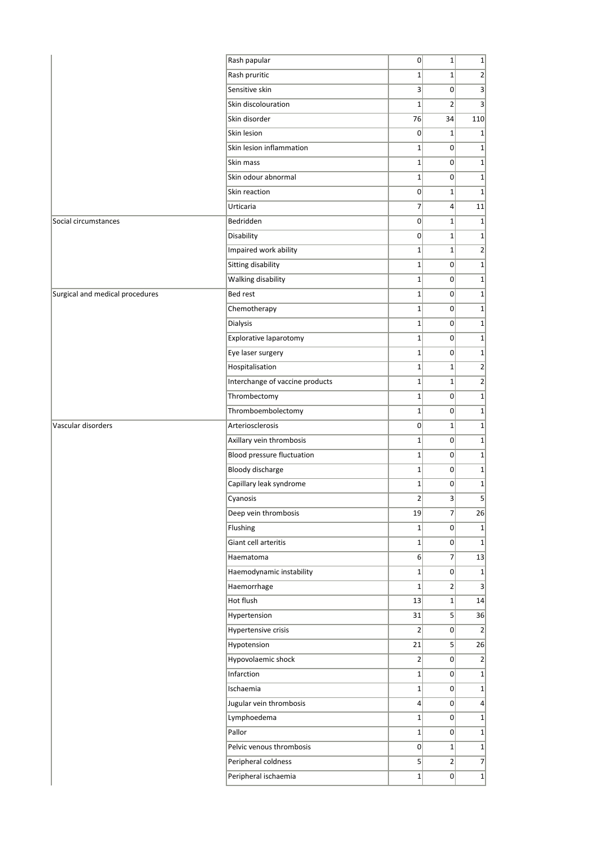|                                 | Rash papular                    | $\overline{0}$   | $1\overline{ }$ | $\mathbf 1$    |
|---------------------------------|---------------------------------|------------------|-----------------|----------------|
|                                 | Rash pruritic                   | $1\vert$         | $1\overline{ }$ | $\overline{2}$ |
|                                 | Sensitive skin                  | $\vert 3 \vert$  | $\Omega$        | 3              |
|                                 | Skin discolouration             | $\mathbf 1$      | $\overline{2}$  | 3              |
|                                 | Skin disorder                   | 76               | 34              | 110            |
|                                 | Skin lesion                     | $\overline{0}$   | $1\vert$        | $\mathbf 1$    |
|                                 | Skin lesion inflammation        | $\mathbf{1}$     | 0               | $\mathbf 1$    |
|                                 | Skin mass                       | $1\vert$         | $\Omega$        | $\mathbf 1$    |
|                                 | Skin odour abnormal             | $1\vert$         | 0               | $\mathbf 1$    |
|                                 | Skin reaction                   | $\overline{0}$   | $1\overline{ }$ | $1\,$          |
|                                 | Urticaria                       | $\overline{7}$   | $\overline{4}$  | 11             |
| Social circumstances            | Bedridden                       | $\overline{0}$   | $1\overline{ }$ | $1\,$          |
|                                 | Disability                      | $\overline{0}$   | $1\overline{ }$ | $\mathbf 1$    |
|                                 | Impaired work ability           | $\mathbf 1$      | $\mathbf{1}$    | $\overline{2}$ |
|                                 | Sitting disability              | $1\vert$         | 0               | $\mathbf 1$    |
|                                 | Walking disability              | $1\vert$         | 0               | $\mathbf 1$    |
| Surgical and medical procedures | Bed rest                        | $1\vert$         | $\overline{0}$  | $\mathbf 1$    |
|                                 | Chemotherapy                    | $1\vert$         | $\overline{0}$  | $\mathbf 1$    |
|                                 | Dialysis                        | $\mathbf 1$      | $\overline{0}$  | $\mathbf 1$    |
|                                 | Explorative laparotomy          | $1\vert$         | $\overline{0}$  | $\mathbf 1$    |
|                                 | Eye laser surgery               | $1\vert$         | 0               | $\mathbf 1$    |
|                                 | Hospitalisation                 | $1\vert$         | $1\vert$        | $\overline{2}$ |
|                                 | Interchange of vaccine products | $1\vert$         | $1\overline{ }$ | $\overline{2}$ |
|                                 | Thrombectomy                    | $\mathbf 1$      | $\overline{0}$  | $\mathbf 1$    |
|                                 | Thromboembolectomy              | $1\vert$         | 0               | $\mathbf 1$    |
| Vascular disorders              | Arteriosclerosis                | $\overline{0}$   | $1\overline{ }$ | $\mathbf 1$    |
|                                 | Axillary vein thrombosis        | $1\vert$         | 0               | $\mathbf 1$    |
|                                 | Blood pressure fluctuation      | $1\vert$         | $\overline{0}$  | $\mathbf 1$    |
|                                 | Bloody discharge                | $1\vert$         | 0               | $\mathbf 1$    |
|                                 | Capillary leak syndrome         | $1\vert$         | $\overline{0}$  | $\mathbf 1$    |
|                                 | Cyanosis                        | $\overline{2}$   | 3               | 5              |
|                                 | Deep vein thrombosis            | 19               | $\overline{7}$  | 26             |
|                                 | Flushing                        | $1\vert$         | 0               | $\mathbf 1$    |
|                                 | Giant cell arteritis            | $1\vert$         | $\overline{0}$  | $\mathbf 1$    |
|                                 | Haematoma                       | $6\vert$         | $\overline{7}$  | 13             |
|                                 | Haemodynamic instability        | $1\vert$         | 0               | $\mathbf 1$    |
|                                 | Haemorrhage                     | $1\vert$         | 2               | 3              |
|                                 | Hot flush                       | 13               | $1\vert$        | 14             |
|                                 | Hypertension                    | 31               | $\vert$         | 36             |
|                                 | Hypertensive crisis             | $\overline{2}$   | 0               | $\overline{2}$ |
|                                 | Hypotension                     | 21               | $\vert$         | 26             |
|                                 | Hypovolaemic shock              | $\overline{2}$   | 0               | $\overline{2}$ |
|                                 | Infarction                      | $1\vert$         | 0               | $\mathbf{1}$   |
|                                 | Ischaemia                       | $1\vert$         | 0               | $\mathbf{1}$   |
|                                 | Jugular vein thrombosis         | $\left 4\right $ | 0               | $\overline{4}$ |
|                                 | Lymphoedema                     | $1\vert$         | $\overline{0}$  | $\mathbf 1$    |
|                                 | Pallor                          | $1\vert$         | 0               | $\mathbf 1$    |
|                                 | Pelvic venous thrombosis        | 0                | $1\vert$        | $\mathbf 1$    |
|                                 | Peripheral coldness             | $\mathsf{S}$     | $\overline{2}$  | $\overline{7}$ |
|                                 | Peripheral ischaemia            | $1\vert$         | 0               | $\mathbf{1}$   |
|                                 |                                 |                  |                 |                |